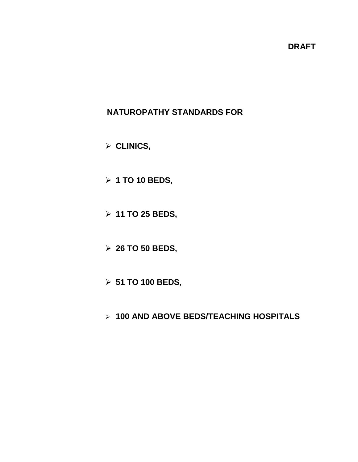# **DRAFT**

# **NATUROPATHY STANDARDS FOR**

**CLINICS,** 

- **1 TO 10 BEDS,**
- **11 TO 25 BEDS,**
- **26 TO 50 BEDS,**
- **51 TO 100 BEDS,**
- **100 AND ABOVE BEDS/TEACHING HOSPITALS**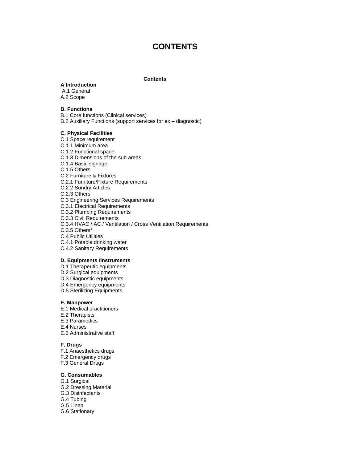# **CONTENTS**

#### **Contents**

#### **A Introduction**

A.1 General A.2 Scope

#### **B. Functions**

B.1 Core functions (Clinical services)

B.2 Auxiliary Functions (support services for ex – diagnostic)

**C. Physical Facilities** C.1 Space requirement C.1.1 Minimum area C.1.2 Functional space C.1.3 Dimensions of the sub areas C.1.4 Basic signage C.1.5 Others C.2 Furniture & Fixtures C.2.1 Furniture/Fixture Requirements C.2.2 Sundry Articles C.2.3 Others C.3 Engineering Services Requirements C.3.1 Electrical Requirements C.3.2 Plumbing Requirements C.3.3 Civil Requirements C.3.4 HVAC / AC / Ventilation / Cross Ventilation Requirements C.3.5 Others\*

- C.4 Public Utilities
- C.4.1 Potable drinking water
- C.4.2 Sanitary Requirements

#### **D***.* **Equipments /instruments**

- D.1 Therapeutic equipments
- D.2 Surgical equipments
- D.3 Diagnostic equipments
- D.4 Emergency equipments
- D.5 Sterilizing Equipments

#### **E. Manpower**

- E.1 Medical practitioners
- E.2 Therapists
- E.3 Paramedics
- E.4 Nurses
- E.5 Administrative staff

#### **F. Drugs**

- F.1 Anaesthetics drugs
- F.2 Emergency drugs
- F.3 General Drugs

#### **G. Consumables**

- G.1 Surgical
- G.2 Dressing Material
- G.3 Disinfectants
- G.4 Tubing
- G.5 Linen
- G.6 Stationary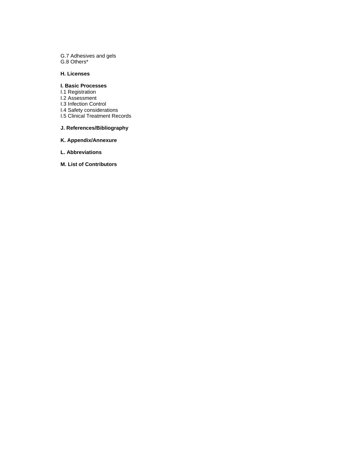G.7 Adhesives and gels G.8 Others\*

#### **H. Licenses**

#### **I. Basic Processes**

- I.1 Registration
- I.2 Assessment
- I.3 Infection Control I.4 Safety considerations
- I.5 Clinical Treatment Records

#### **J. References/Bibliography**

#### **K. Appendix/Annexure**

- **L. Abbreviations**
- **M. List of Contributors**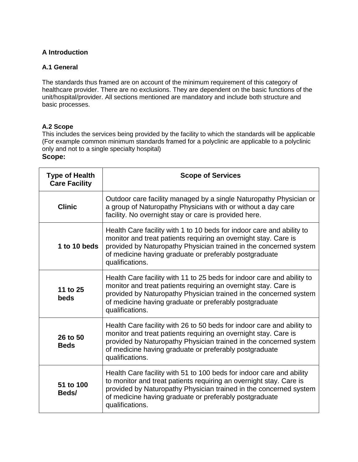## **A Introduction**

#### **A.1 General**

The standards thus framed are on account of the minimum requirement of this category of healthcare provider. There are no exclusions. They are dependent on the basic functions of the unit/hospital/provider. All sections mentioned are mandatory and include both structure and basic processes.

#### **A.2 Scope**

This includes the services being provided by the facility to which the standards will be applicable (For example common minimum standards framed for a polyclinic are applicable to a polyclinic only and not to a single specialty hospital) **Scope:**

| <b>Type of Health</b><br><b>Care Facility</b> | <b>Scope of Services</b>                                                                                                                                                                                                                                                                     |
|-----------------------------------------------|----------------------------------------------------------------------------------------------------------------------------------------------------------------------------------------------------------------------------------------------------------------------------------------------|
| <b>Clinic</b>                                 | Outdoor care facility managed by a single Naturopathy Physician or<br>a group of Naturopathy Physicians with or without a day care<br>facility. No overnight stay or care is provided here.                                                                                                  |
| 1 to 10 beds                                  | Health Care facility with 1 to 10 beds for indoor care and ability to<br>monitor and treat patients requiring an overnight stay. Care is<br>provided by Naturopathy Physician trained in the concerned system<br>of medicine having graduate or preferably postgraduate<br>qualifications.   |
| 11 to 25<br>beds                              | Health Care facility with 11 to 25 beds for indoor care and ability to<br>monitor and treat patients requiring an overnight stay. Care is<br>provided by Naturopathy Physician trained in the concerned system<br>of medicine having graduate or preferably postgraduate<br>qualifications.  |
| 26 to 50<br><b>Beds</b>                       | Health Care facility with 26 to 50 beds for indoor care and ability to<br>monitor and treat patients requiring an overnight stay. Care is<br>provided by Naturopathy Physician trained in the concerned system<br>of medicine having graduate or preferably postgraduate<br>qualifications.  |
| 51 to 100<br>Beds/                            | Health Care facility with 51 to 100 beds for indoor care and ability<br>to monitor and treat patients requiring an overnight stay. Care is<br>provided by Naturopathy Physician trained in the concerned system<br>of medicine having graduate or preferably postgraduate<br>qualifications. |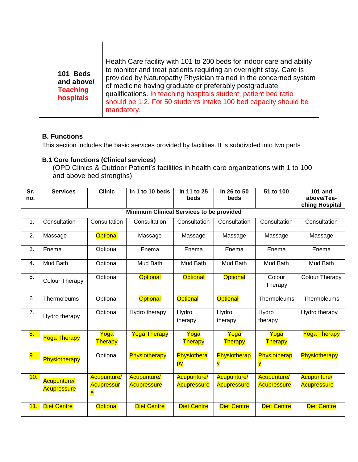| 101 Beds<br>and above/<br><b>Teaching</b><br>hospitals | Health Care facility with 101 to 200 beds for indoor care and ability<br>to monitor and treat patients requiring an overnight stay. Care is<br>provided by Naturopathy Physician trained in the concerned system<br>of medicine having graduate or preferably postgraduate<br>qualifications. In teaching hospitals student, patient bed ratio<br>should be 1:2. For 50 students intake 100 bed capacity should be<br>mandatory. |
|--------------------------------------------------------|----------------------------------------------------------------------------------------------------------------------------------------------------------------------------------------------------------------------------------------------------------------------------------------------------------------------------------------------------------------------------------------------------------------------------------|

#### **B. Functions**

This section includes the basic services provided by facilities. It is subdivided into two parts

# **B.1 Core functions (Clinical services)**

(OPD Clinics & Outdoor Patient's facilities in health care organizations with 1 to 100 and above bed strengths)

| Sr. | <b>Services</b>                                 | <b>Clinic</b>                                | In 1 to 10 beds                          | In 11 to 25<br>beds               | In 26 to 50<br>beds                      | 51 to 100                                | <b>101 and</b><br>above/Tea-             |  |  |  |
|-----|-------------------------------------------------|----------------------------------------------|------------------------------------------|-----------------------------------|------------------------------------------|------------------------------------------|------------------------------------------|--|--|--|
| no. |                                                 |                                              |                                          |                                   |                                          |                                          | ching Hospital                           |  |  |  |
|     | <b>Minimum Clinical Services to be provided</b> |                                              |                                          |                                   |                                          |                                          |                                          |  |  |  |
| 1.  | Consultation                                    | Consultation                                 | Consultation                             | Consultation                      | Consultation                             | Consultation                             | Consultation                             |  |  |  |
| 2.  | Massage                                         | <b>Optional</b>                              | Massage                                  | Massage                           | Massage                                  | Massage                                  | Massage                                  |  |  |  |
| 3.  | Enema                                           | Optional                                     | Enema                                    | Enema                             | Enema                                    | Enema                                    | Enema                                    |  |  |  |
| 4.  | Mud Bath                                        | Optional                                     | Mud Bath                                 | <b>Mud Bath</b>                   | <b>Mud Bath</b>                          | Mud Bath                                 | <b>Mud Bath</b>                          |  |  |  |
| 5.  | Colour Therapy                                  | Optional                                     | <b>Optional</b>                          | <b>Optional</b>                   | <b>Optional</b>                          | Colour<br>Therapy                        | <b>Colour Therapy</b>                    |  |  |  |
| 6.  | Thermoleums                                     | Optional                                     | <b>Optional</b>                          | <b>Optional</b>                   | <b>Optional</b>                          | Thermoleums                              | Thermoleums                              |  |  |  |
| 7.  | Hydro therapy                                   | Optional                                     | Hydro therapy                            | Hydro<br>therapy                  | Hydro<br>therapy                         | Hydro<br>therapy                         | Hydro therapy                            |  |  |  |
| 8.  | <b>Yoga Therapy</b>                             | Yoga<br>Therapy                              | <b>Yoga Therapy</b>                      | Yoga<br>Therapy                   | Yoga<br>Therapy                          | Yoga<br>Therapy                          | <b>Yoga Therapy</b>                      |  |  |  |
| 9.  | Physiotherapy                                   | Optional                                     | Physiotherapy                            | Physiothera<br>py                 | Physiotherap<br>y                        | Physiotherap<br>y                        | Physiotherapy                            |  |  |  |
| 10. | <b>Acupunture/</b><br><b>Acupressure</b>        | <b>Acupunture/</b><br><b>Acupressur</b><br>e | <b>Acupunture/</b><br><b>Acupressure</b> | Acupunture/<br><b>Acupressure</b> | <b>Acupunture/</b><br><b>Acupressure</b> | <b>Acupunture/</b><br><b>Acupressure</b> | <b>Acupunture/</b><br><b>Acupressure</b> |  |  |  |
| 11. | <b>Diet Centre</b>                              | <b>Optional</b>                              | <b>Diet Centre</b>                       | <b>Diet Centre</b>                | <b>Diet Centre</b>                       | <b>Diet Centre</b>                       | <b>Diet Centre</b>                       |  |  |  |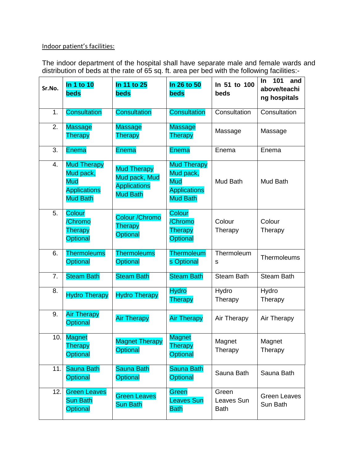# Indoor patient's facilities:

The indoor department of the hospital shall have separate male and female wards and distribution of beds at the rate of 65 sq. ft. area per bed with the following facilities:-

| Sr.No.           | In 1 to 10<br><b>beds</b>                                                               | In 11 to 25<br><b>beds</b>                                                    | In 26 to 50<br><b>beds</b>                                                       | In 51 to 100<br>beds               | 101<br>In<br>and<br>above/teachi<br>ng hospitals |
|------------------|-----------------------------------------------------------------------------------------|-------------------------------------------------------------------------------|----------------------------------------------------------------------------------|------------------------------------|--------------------------------------------------|
| 1.               | <b>Consultation</b>                                                                     | <b>Consultation</b>                                                           | <b>Consultation</b>                                                              | Consultation                       | Consultation                                     |
| 2.               | <b>Massage</b><br>Therapy                                                               | <b>Massage</b><br>Therapy                                                     | <b>Massage</b><br>Therapy                                                        | Massage                            | Massage                                          |
| 3.               | <b>Enema</b>                                                                            | <b>Enema</b>                                                                  | <b>Enema</b>                                                                     | Enema                              | Enema                                            |
| 4.               | <b>Mud Therapy</b><br>Mud pack,<br><b>Mud</b><br><b>Applications</b><br><b>Mud Bath</b> | <b>Mud Therapy</b><br>Mud pack, Mud<br><b>Applications</b><br><b>Mud Bath</b> | <b>Mud Therapy</b><br>Mud pack,<br>Mud<br><b>Applications</b><br><b>Mud Bath</b> | Mud Bath                           | Mud Bath                                         |
| 5.               | Colour<br>/Chromo<br>Therapy<br><b>Optional</b>                                         | <b>Colour / Chromo</b><br>Therapy<br><b>Optional</b>                          | <b>Colour</b><br>/Chromo<br><b>Therapy</b><br><b>Optional</b>                    | Colour<br>Therapy                  | Colour<br>Therapy                                |
| 6.               | <b>Thermoleums</b><br><b>Thermoleums</b><br>Optional<br>Optional                        |                                                                               | <b>Thermoleum</b><br>s Optional                                                  | Thermoleum<br>S                    | <b>Thermoleums</b>                               |
| $\overline{7}$ . | <b>Steam Bath</b>                                                                       | <b>Steam Bath</b>                                                             | <b>Steam Bath</b>                                                                | <b>Steam Bath</b>                  | <b>Steam Bath</b>                                |
| 8.               | <b>Hydro Therapy</b>                                                                    | <b>Hydro Therapy</b>                                                          | <b>Hydro</b><br>Therapy                                                          | Hydro<br>Therapy                   | Hydro<br>Therapy                                 |
| 9.               | <b>Air Therapy</b><br><b>Optional</b>                                                   | <b>Air Therapy</b>                                                            | <b>Air Therapy</b>                                                               | Air Therapy                        | Air Therapy                                      |
| 10.              | <b>Magnet</b><br><b>Therapy</b><br><b>Optional</b>                                      | <b>Magnet Therapy</b><br><b>Optional</b>                                      | <b>Magnet</b><br>Therapy<br><b>Optional</b>                                      | Magnet<br>Therapy                  | Magnet<br>Therapy                                |
| 11.1             | <b>Sauna Bath</b><br>Optional                                                           | <b>Sauna Bath</b><br><b>Optional</b>                                          | <b>Sauna Bath</b><br><b>Optional</b>                                             | Sauna Bath                         | Sauna Bath                                       |
| 12.              | <b>Green Leaves</b><br><b>Sun Bath</b><br>Optional                                      | <b>Green Leaves</b><br><b>Sun Bath</b>                                        | Green<br><b>Leaves Sun</b><br><b>Bath</b>                                        | Green<br>Leaves Sun<br><b>Bath</b> | <b>Green Leaves</b><br>Sun Bath                  |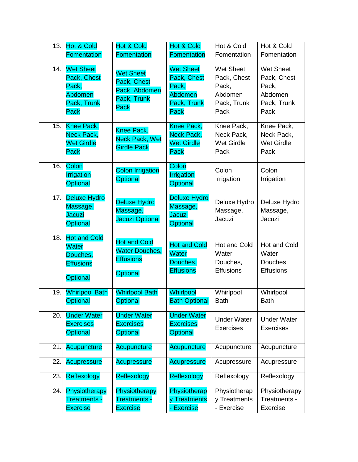| 13. | <b>Hot &amp; Cold</b><br>Fomentation                                                   | Hot & Cold<br><b>Fomentation</b>                                                    | <b>Hot &amp; Cold</b><br>Fomentation                                       | Hot & Cold<br>Fomentation                                                  | Hot & Cold<br>Fomentation                                                  |
|-----|----------------------------------------------------------------------------------------|-------------------------------------------------------------------------------------|----------------------------------------------------------------------------|----------------------------------------------------------------------------|----------------------------------------------------------------------------|
| 14. | <b>Wet Sheet</b><br>Pack, Chest<br>Pack,<br><b>Abdomen</b><br>Pack, Trunk<br>Pack      | <b>Wet Sheet</b><br>Pack, Chest<br>Pack, Abdomen<br>Pack, Trunk<br><b>Pack</b>      | <b>Wet Sheet</b><br>Pack, Chest<br>Pack,<br>Abdomen<br>Pack, Trunk<br>Pack | <b>Wet Sheet</b><br>Pack, Chest<br>Pack,<br>Abdomen<br>Pack, Trunk<br>Pack | <b>Wet Sheet</b><br>Pack, Chest<br>Pack,<br>Abdomen<br>Pack, Trunk<br>Pack |
| 15. | Knee Pack,<br>Neck Pack,<br><b>Wet Girdle</b><br>Pack                                  | Knee Pack,<br><b>Neck Pack, Wet</b><br><b>Girdle Pack</b>                           | Knee Pack,<br>Neck Pack,<br><b>Wet Girdle</b><br>Pack                      | Knee Pack,<br>Neck Pack,<br><b>Wet Girdle</b><br>Pack                      | Knee Pack,<br>Neck Pack,<br><b>Wet Girdle</b><br>Pack                      |
| 16. | Colon<br>Irrigation<br>Optional                                                        | <b>Colon Irrigation</b><br><b>Optional</b>                                          | Colon<br>Irrigation<br>Optional                                            | Colon<br>Irrigation                                                        | Colon<br>Irrigation                                                        |
| 17. | <b>Deluxe Hydro</b><br>Massage,<br><b>Jacuzi</b><br><b>Optional</b>                    | <b>Deluxe Hydro</b><br>Massage,<br><b>Jacuzi Optional</b>                           | <b>Deluxe Hydro</b><br>Massage,<br>Jacuzi<br><b>Optional</b>               | Deluxe Hydro<br>Massage,<br>Jacuzi                                         | Deluxe Hydro<br>Massage,<br>Jacuzi                                         |
| 18. | <b>Hot and Cold</b><br><b>Water</b><br>Douches,<br><b>Effusions</b><br><b>Optional</b> | <b>Hot and Cold</b><br><b>Water Douches,</b><br><b>Effusions</b><br><b>Optional</b> | <b>Hot and Cold</b><br>Water<br>Douches,<br><b>Effusions</b>               | Hot and Cold<br>Water<br>Douches,<br><b>Effusions</b>                      | <b>Hot and Cold</b><br>Water<br>Douches,<br><b>Effusions</b>               |
| 19. | <b>Whirlpool Bath</b><br><b>Optional</b>                                               | <b>Whirlpool Bath</b><br>Optional                                                   | Whirlpool<br><b>Bath Optional</b>                                          | Whirlpool<br><b>Bath</b>                                                   | Whirlpool<br><b>Bath</b>                                                   |
| 20. | <b>Under Water</b><br><b>Exercises</b><br><b>Optional</b>                              | <b>Under Water</b><br><b>Exercises</b><br><b>Optional</b>                           | <b>Under Water</b><br><b>Exercises</b><br><b>Optional</b>                  | <b>Under Water</b><br><b>Exercises</b>                                     | <b>Under Water</b><br><b>Exercises</b>                                     |
| 21. | <b>Acupuncture</b>                                                                     | <b>Acupuncture</b>                                                                  | <b>Acupuncture</b>                                                         | Acupuncture                                                                | Acupuncture                                                                |
| 22. | <b>Acupressure</b>                                                                     | <b>Acupressure</b>                                                                  | Acupressure                                                                | Acupressure                                                                | Acupressure                                                                |
| 23. | Reflexology                                                                            | Reflexology                                                                         | Reflexology                                                                | Reflexology                                                                | Reflexology                                                                |
| 24. | Physiotherapy<br><b>Treatments -</b><br><b>Exercise</b>                                | Physiotherapy<br>Treatments -<br><b>Exercise</b>                                    | Physiotherap<br>y Treatments<br>- Exercise                                 | Physiotherap<br>y Treatments<br>- Exercise                                 | Physiotherapy<br>Treatments -<br>Exercise                                  |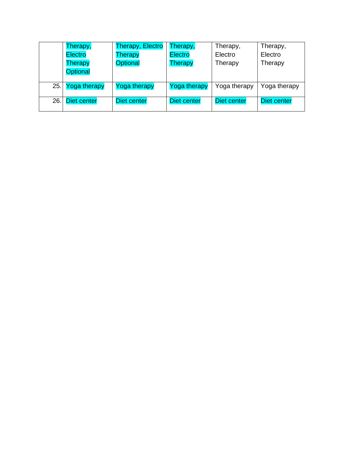|     | Therapy,         | <b>Therapy, Electro</b> | Therapy,            | Therapy,     | Therapy,     |
|-----|------------------|-------------------------|---------------------|--------------|--------------|
|     | <b>Electro</b>   | Therapy                 | <b>Electro</b>      | Electro      | Electro      |
|     | Therapy          | <b>Optional</b>         | Therapy             | Therapy      | Therapy      |
|     | <b>Optional</b>  |                         |                     |              |              |
|     |                  |                         |                     |              |              |
|     | 25. Yoga therapy | Yoga therapy            | <b>Yoga therapy</b> | Yoga therapy | Yoga therapy |
| 26. | Diet center      | Diet center             | Diet center         | Diet center  | Diet center  |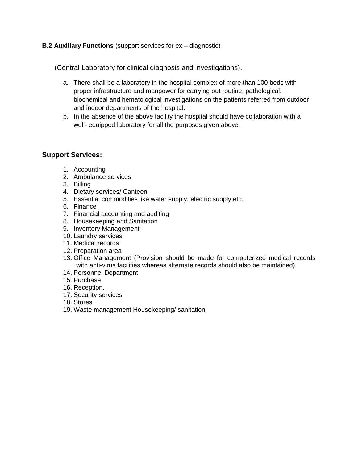#### **B.2 Auxiliary Functions** (support services for ex – diagnostic)

(Central Laboratory for clinical diagnosis and investigations).

- a. There shall be a laboratory in the hospital complex of more than 100 beds with proper infrastructure and manpower for carrying out routine, pathological, biochemical and hematological investigations on the patients referred from outdoor and indoor departments of the hospital.
- b. In the absence of the above facility the hospital should have collaboration with a well- equipped laboratory for all the purposes given above.

#### **Support Services:**

- 1. Accounting
- 2. Ambulance services
- 3. Billing
- 4. Dietary services/ Canteen
- 5. Essential commodities like water supply, electric supply etc.
- 6. Finance
- 7. Financial accounting and auditing
- 8. Housekeeping and Sanitation
- 9. Inventory Management
- 10. Laundry services
- 11. Medical records
- 12. Preparation area
- 13. Office Management (Provision should be made for computerized medical records with anti-virus facilities whereas alternate records should also be maintained)
- 14. Personnel Department
- 15. Purchase
- 16. Reception,
- 17. Security services
- 18. Stores
- 19. Waste management Housekeeping/ sanitation,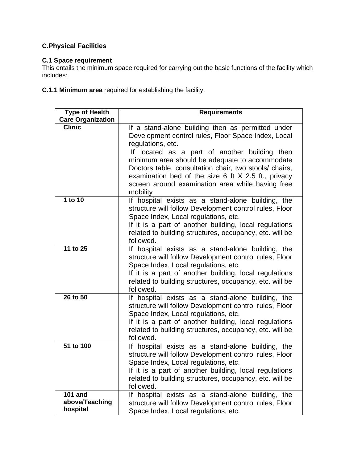# **C.Physical Facilities**

## **C.1 Space requirement**

This entails the minimum space required for carrying out the basic functions of the facility which includes:

**C.1.1 Minimum area** required for establishing the facility,

| <b>Type of Health</b><br><b>Care Organization</b> | <b>Requirements</b>                                                                                                                                                                                                                                                                                                                                                                                                   |
|---------------------------------------------------|-----------------------------------------------------------------------------------------------------------------------------------------------------------------------------------------------------------------------------------------------------------------------------------------------------------------------------------------------------------------------------------------------------------------------|
| <b>Clinic</b>                                     | If a stand-alone building then as permitted under<br>Development control rules, Floor Space Index, Local<br>regulations, etc.<br>If located as a part of another building then<br>minimum area should be adequate to accommodate<br>Doctors table, consultation chair, two stools/ chairs,<br>examination bed of the size $6$ ft $X$ 2.5 ft., privacy<br>screen around examination area while having free<br>mobility |
| 1 to 10                                           | If hospital exists as a stand-alone building, the<br>structure will follow Development control rules, Floor<br>Space Index, Local regulations, etc.<br>If it is a part of another building, local regulations<br>related to building structures, occupancy, etc. will be<br>followed.                                                                                                                                 |
| 11 to 25                                          | If hospital exists as a stand-alone building, the<br>structure will follow Development control rules, Floor<br>Space Index, Local regulations, etc.<br>If it is a part of another building, local regulations<br>related to building structures, occupancy, etc. will be<br>followed.                                                                                                                                 |
| 26 to 50                                          | If hospital exists as a stand-alone building, the<br>structure will follow Development control rules, Floor<br>Space Index, Local regulations, etc.<br>If it is a part of another building, local regulations<br>related to building structures, occupancy, etc. will be<br>followed.                                                                                                                                 |
| 51 to 100                                         | If hospital exists as a stand-alone building, the<br>structure will follow Development control rules, Floor<br>Space Index, Local regulations, etc.<br>If it is a part of another building, local regulations<br>related to building structures, occupancy, etc. will be<br>followed.                                                                                                                                 |
| <b>101 and</b><br>above/Teaching<br>hospital      | If hospital exists as a stand-alone building, the<br>structure will follow Development control rules, Floor<br>Space Index, Local regulations, etc.                                                                                                                                                                                                                                                                   |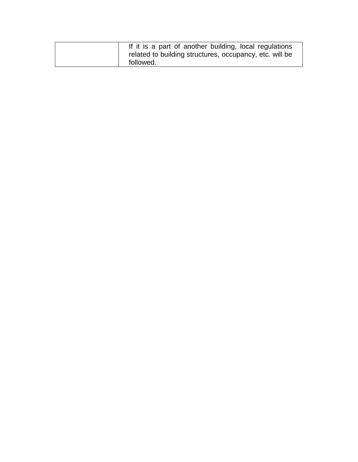| If it is a part of another building, local regulations  |
|---------------------------------------------------------|
| related to building structures, occupancy, etc. will be |
| followed.                                               |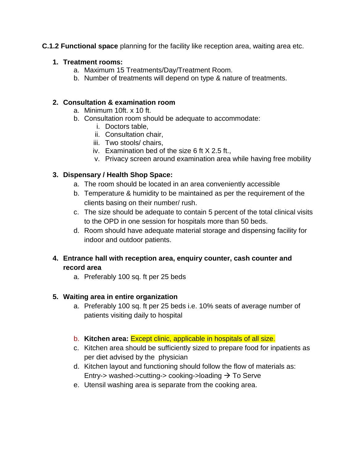### **C.1.2 Functional space** planning for the facility like reception area, waiting area etc.

#### **1. Treatment rooms:**

- a. Maximum 15 Treatments/Day/Treatment Room.
- b. Number of treatments will depend on type & nature of treatments.

## **2. Consultation & examination room**

- a. Minimum 10ft. x 10 ft.
- b. Consultation room should be adequate to accommodate:
	- i. Doctors table,
	- ii. Consultation chair,
	- iii. Two stools/ chairs,
	- iv. Examination bed of the size 6 ft X 2.5 ft.,
	- v. Privacy screen around examination area while having free mobility

# **3. Dispensary / Health Shop Space:**

- a. The room should be located in an area conveniently accessible
- b. Temperature & humidity to be maintained as per the requirement of the clients basing on their number/ rush.
- c. The size should be adequate to contain 5 percent of the total clinical visits to the OPD in one session for hospitals more than 50 beds.
- d. Room should have adequate material storage and dispensing facility for indoor and outdoor patients.
- **4. Entrance hall with reception area, enquiry counter, cash counter and record area** 
	- a. Preferably 100 sq. ft per 25 beds

# **5. Waiting area in entire organization**

- a. Preferably 100 sq. ft per 25 beds i.e. 10% seats of average number of patients visiting daily to hospital
- b. **Kitchen area:** Except clinic, applicable in hospitals of all size.
- c. Kitchen area should be sufficiently sized to prepare food for inpatients as per diet advised by the physician
- d. Kitchen layout and functioning should follow the flow of materials as: Entry-> washed->cutting-> cooking->loading  $\rightarrow$  To Serve
- e. Utensil washing area is separate from the cooking area.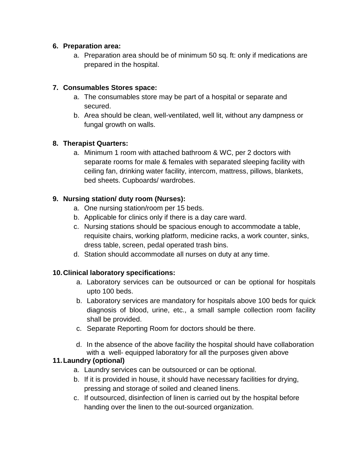## **6. Preparation area:**

a. Preparation area should be of minimum 50 sq. ft: only if medications are prepared in the hospital.

# **7. Consumables Stores space:**

- a. The consumables store may be part of a hospital or separate and secured.
- b. Area should be clean, well-ventilated, well lit, without any dampness or fungal growth on walls.

# **8. Therapist Quarters:**

a. Minimum 1 room with attached bathroom & WC, per 2 doctors with separate rooms for male & females with separated sleeping facility with ceiling fan, drinking water facility, intercom, mattress, pillows, blankets, bed sheets. Cupboards/ wardrobes.

# **9. Nursing station/ duty room (Nurses):**

- a. One nursing station/room per 15 beds.
- b. Applicable for clinics only if there is a day care ward.
- c. Nursing stations should be spacious enough to accommodate a table, requisite chairs, working platform, medicine racks, a work counter, sinks, dress table, screen, pedal operated trash bins.
- d. Station should accommodate all nurses on duty at any time.

# **10.Clinical laboratory specifications:**

- a. Laboratory services can be outsourced or can be optional for hospitals upto 100 beds.
- b. Laboratory services are mandatory for hospitals above 100 beds for quick diagnosis of blood, urine, etc., a small sample collection room facility shall be provided.
- c. Separate Reporting Room for doctors should be there.
- d. In the absence of the above facility the hospital should have collaboration with a well- equipped laboratory for all the purposes given above

# **11.Laundry (optional)**

- a. Laundry services can be outsourced or can be optional.
- b. If it is provided in house, it should have necessary facilities for drying, pressing and storage of soiled and cleaned linens.
- c. If outsourced, disinfection of linen is carried out by the hospital before handing over the linen to the out-sourced organization.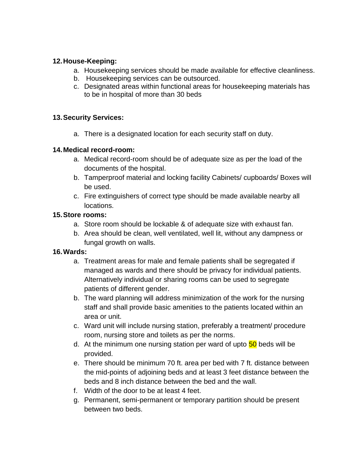# **12.House-Keeping:**

- a. Housekeeping services should be made available for effective cleanliness.
- b. Housekeeping services can be outsourced.
- c. Designated areas within functional areas for housekeeping materials has to be in hospital of more than 30 beds

#### **13.Security Services:**

a. There is a designated location for each security staff on duty.

### **14.Medical record-room:**

- a. Medical record-room should be of adequate size as per the load of the documents of the hospital.
- b. Tamperproof material and locking facility Cabinets/ cupboards/ Boxes will be used.
- c. Fire extinguishers of correct type should be made available nearby all locations.

### **15.Store rooms:**

- a. Store room should be lockable & of adequate size with exhaust fan.
- b. Area should be clean, well ventilated, well lit, without any dampness or fungal growth on walls.

# **16.Wards:**

- a. Treatment areas for male and female patients shall be segregated if managed as wards and there should be privacy for individual patients. Alternatively individual or sharing rooms can be used to segregate patients of different gender.
- b. The ward planning will address minimization of the work for the nursing staff and shall provide basic amenities to the patients located within an area or unit.
- c. Ward unit will include nursing station, preferably a treatment/ procedure room, nursing store and toilets as per the norms.
- d. At the minimum one nursing station per ward of upto 50 beds will be provided.
- e. There should be minimum 70 ft. area per bed with 7 ft. distance between the mid-points of adjoining beds and at least 3 feet distance between the beds and 8 inch distance between the bed and the wall.
- f. Width of the door to be at least 4 feet.
- g. Permanent, semi-permanent or temporary partition should be present between two beds.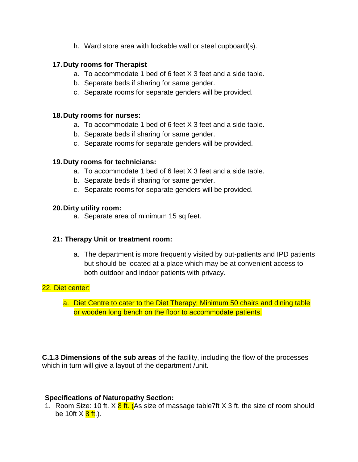h. Ward store area with **l**ockable wall or steel cupboard(s).

## **17.Duty rooms for Therapist**

- a. To accommodate 1 bed of 6 feet X 3 feet and a side table.
- b. Separate beds if sharing for same gender.
- c. Separate rooms for separate genders will be provided.

#### **18.Duty rooms for nurses:**

- a. To accommodate 1 bed of 6 feet X 3 feet and a side table.
- b. Separate beds if sharing for same gender.
- c. Separate rooms for separate genders will be provided.

### **19.Duty rooms for technicians:**

- a. To accommodate 1 bed of 6 feet X 3 feet and a side table.
- b. Separate beds if sharing for same gender.
- c. Separate rooms for separate genders will be provided.

### **20.Dirty utility room:**

a. Separate area of minimum 15 sq feet.

#### **21: Therapy Unit or treatment room:**

a. The department is more frequently visited by out-patients and IPD patients but should be located at a place which may be at convenient access to both outdoor and indoor patients with privacy.

# 22. Diet center:

a. Diet Centre to cater to the Diet Therapy; Minimum 50 chairs and dining table or wooden long bench on the floor to accommodate patients.

**C.1.3 Dimensions of the sub areas** of the facility, including the flow of the processes which in turn will give a layout of the department /unit.

# **Specifications of Naturopathy Section:**

1. Room Size: 10 ft. X 8 ft. (As size of massage table7ft X 3 ft. the size of room should be 10ft  $X \frac{8 \text{ ft}}{1}$ .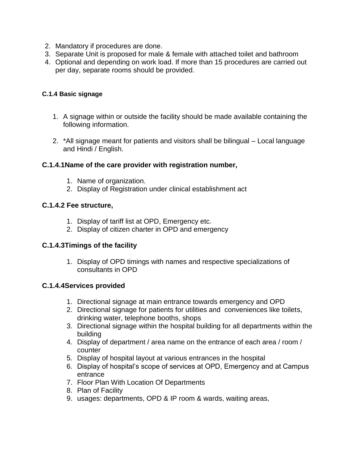- 2. Mandatory if procedures are done.
- 3. Separate Unit is proposed for male & female with attached toilet and bathroom
- 4. Optional and depending on work load. If more than 15 procedures are carried out per day, separate rooms should be provided.

### **C.1.4 Basic signage**

- 1. A signage within or outside the facility should be made available containing the following information.
- 2. \*All signage meant for patients and visitors shall be bilingual Local language and Hindi / English.

# **C.1.4.1Name of the care provider with registration number,**

- 1. Name of organization.
- 2. Display of Registration under clinical establishment act

### **C.1.4.2 Fee structure,**

- 1. Display of tariff list at OPD, Emergency etc.
- 2. Display of citizen charter in OPD and emergency

# **C.1.4.3Timings of the facility**

1. Display of OPD timings with names and respective specializations of consultants in OPD

#### **C.1.4.4Services provided**

- 1. Directional signage at main entrance towards emergency and OPD
- 2. Directional signage for patients for utilities and conveniences like toilets, drinking water, telephone booths, shops
- 3. Directional signage within the hospital building for all departments within the building
- 4. Display of department / area name on the entrance of each area / room / counter
- 5. Display of hospital layout at various entrances in the hospital
- 6. Display of hospital's scope of services at OPD, Emergency and at Campus entrance
- 7. Floor Plan With Location Of Departments
- 8. Plan of Facility
- 9. usages: departments, OPD & IP room & wards, waiting areas,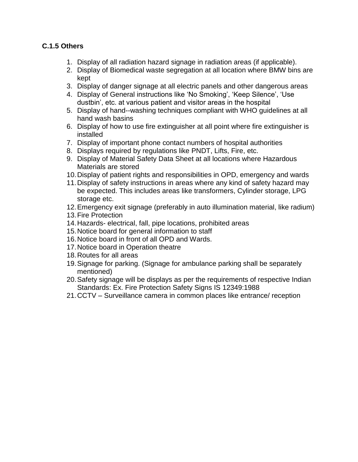# **C.1.5 Others**

- 1. Display of all radiation hazard signage in radiation areas (if applicable).
- 2. Display of Biomedical waste segregation at all location where BMW bins are kept
- 3. Display of danger signage at all electric panels and other dangerous areas
- 4. Display of General instructions like 'No Smoking', 'Keep Silence', 'Use dustbin', etc. at various patient and visitor areas in the hospital
- 5. Display of hand--washing techniques compliant with WHO guidelines at all hand wash basins
- 6. Display of how to use fire extinguisher at all point where fire extinguisher is installed
- 7. Display of important phone contact numbers of hospital authorities
- 8. Displays required by regulations like PNDT, Lifts, Fire, etc.
- 9. Display of Material Safety Data Sheet at all locations where Hazardous Materials are stored
- 10.Display of patient rights and responsibilities in OPD, emergency and wards
- 11.Display of safety instructions in areas where any kind of safety hazard may be expected. This includes areas like transformers, Cylinder storage, LPG storage etc.
- 12.Emergency exit signage (preferably in auto illumination material, like radium)
- 13.Fire Protection
- 14.Hazards- electrical, fall, pipe locations, prohibited areas
- 15.Notice board for general information to staff
- 16.Notice board in front of all OPD and Wards.
- 17.Notice board in Operation theatre
- 18.Routes for all areas
- 19.Signage for parking. (Signage for ambulance parking shall be separately mentioned)
- 20.Safety signage will be displays as per the requirements of respective Indian Standards: Ex. Fire Protection Safety Signs IS 12349:1988
- 21.CCTV Surveillance camera in common places like entrance/ reception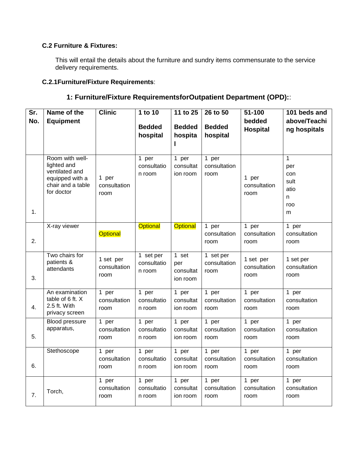#### **C.2 Furniture & Fixtures:**

This will entail the details about the furniture and sundry items commensurate to the service delivery requirements.

# **C.2.1Furniture/Fixture Requirements**:

| Sr.<br>No. | Name of the<br><b>Equipment</b>                                                                        | <b>Clinic</b>                     | 1 to 10<br><b>Bedded</b><br>hospital | 11 to 25<br><b>Bedded</b><br>hospita  | 26 to 50<br><b>Bedded</b><br>hospital | 51-100<br>bedded<br><b>Hospital</b> | 101 beds and<br>above/Teachi<br>ng hospitals                |
|------------|--------------------------------------------------------------------------------------------------------|-----------------------------------|--------------------------------------|---------------------------------------|---------------------------------------|-------------------------------------|-------------------------------------------------------------|
| 1.         | Room with well-<br>lighted and<br>ventilated and<br>equipped with a<br>chair and a table<br>for doctor | 1 per<br>consultation<br>room     | 1 per<br>consultatio<br>n room       | 1 per<br>consultat<br>ion room        | 1 per<br>consultation<br>room         | 1 per<br>consultation<br>room       | $\mathbf{1}$<br>per<br>con<br>sult<br>atio<br>n<br>roo<br>m |
| 2.         | X-ray viewer                                                                                           | <b>Optional</b>                   | <b>Optional</b>                      | <b>Optional</b>                       | 1 per<br>consultation<br>room         | 1 per<br>consultation<br>room       | 1 per<br>consultation<br>room                               |
| 3.         | Two chairs for<br>patients &<br>attendants                                                             | 1 set per<br>consultation<br>room | 1 set per<br>consultatio<br>n room   | 1 set<br>per<br>consultat<br>ion room | 1 set per<br>consultation<br>room     | 1 set per<br>consultation<br>room   | 1 set per<br>consultation<br>room                           |
| 4.         | An examination<br>table of 6 ft. X<br>2.5 ft. With<br>privacy screen                                   | 1 per<br>consultation<br>room     | 1 per<br>consultatio<br>n room       | 1 per<br>consultat<br>ion room        | 1 per<br>consultation<br>room         | 1 per<br>consultation<br>room       | 1 per<br>consultation<br>room                               |
| 5.         | <b>Blood pressure</b><br>apparatus,                                                                    | 1 per<br>consultation<br>room     | 1 per<br>consultatio<br>n room       | 1 per<br>consultat<br>ion room        | 1 per<br>consultation<br>room         | 1 per<br>consultation<br>room       | 1 per<br>consultation<br>room                               |
| 6.         | Stethoscope                                                                                            | 1 per<br>consultation<br>room     | 1 per<br>consultatio<br>n room       | 1 per<br>consultat<br>ion room        | 1 per<br>consultation<br>room         | 1 per<br>consultation<br>room       | 1 per<br>consultation<br>room                               |
| 7.         | Torch,                                                                                                 | 1 per<br>consultation<br>room     | 1 per<br>consultatio<br>n room       | 1 per<br>consultat<br>ion room        | 1 per<br>consultation<br>room         | 1 $per$<br>consultation<br>room     | 1 per<br>consultation<br>room                               |

# **1: Furniture/Fixture RequirementsforOutpatient Department (OPD):**: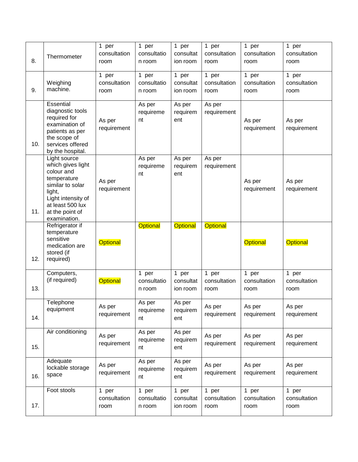| 8.  | Thermometer                                                                                                                                                               | 1 per<br>consultation<br>room | 1 per<br>consultatio<br>n room | 1 per<br>consultat<br>ion room | 1 per<br>consultation<br>room | 1 per<br>consultation<br>room | 1 per<br>consultation<br>room |
|-----|---------------------------------------------------------------------------------------------------------------------------------------------------------------------------|-------------------------------|--------------------------------|--------------------------------|-------------------------------|-------------------------------|-------------------------------|
| 9.  | Weighing<br>machine.                                                                                                                                                      | 1 per<br>consultation<br>room | 1 per<br>consultatio<br>n room | 1 per<br>consultat<br>ion room | 1 per<br>consultation<br>room | 1 per<br>consultation<br>room | 1 per<br>consultation<br>room |
| 10. | Essential<br>diagnostic tools<br>required for<br>examination of<br>patients as per<br>the scope of<br>services offered<br>by the hospital.                                | As per<br>requirement         | As per<br>requireme<br>nt      | As per<br>requirem<br>ent      | As per<br>requirement         | As per<br>requirement         | As per<br>requirement         |
| 11. | Light source<br>which gives light<br>colour and<br>temperature<br>similar to solar<br>light,<br>Light intensity of<br>at least 500 lux<br>at the point of<br>examination. | As per<br>requirement         | As per<br>requireme<br>nt      | As per<br>requirem<br>ent      | As per<br>requirement         | As per<br>requirement         | As per<br>requirement         |
| 12. | Refrigerator if<br>temperature<br>sensitive<br>medication are<br>stored (if<br>required)                                                                                  | <b>Optional</b>               | <b>Optional</b>                | <b>Optional</b>                | <b>Optional</b>               | <b>Optional</b>               | <b>Optional</b>               |
| 13. | Computers,<br>(if required)                                                                                                                                               | <b>Optional</b>               | 1 per<br>consultatio<br>n room | 1 per<br>consultat<br>ion room | 1 per<br>consultation<br>room | 1 per<br>consultation<br>room | 1 per<br>consultation<br>room |
| 14. | Telephone<br>equipment                                                                                                                                                    | As per<br>requirement         | As per<br>requireme<br>nt      | As per<br>requirem<br>ent      | As per<br>requirement         | As per<br>requirement         | As per<br>requirement         |
| 15. | Air conditioning                                                                                                                                                          | As per<br>requirement         | As per<br>requireme<br>nt      | As per<br>requirem<br>ent      | As per<br>requirement         | As per<br>requirement         | As per<br>requirement         |
| 16. | Adequate<br>lockable storage<br>space                                                                                                                                     | As per<br>requirement         | As per<br>requireme<br>nt      | As per<br>requirem<br>ent      | As per<br>requirement         | As per<br>requirement         | As per<br>requirement         |
| 17. | Foot stools                                                                                                                                                               | 1 per<br>consultation<br>room | 1 per<br>consultatio<br>n room | 1 per<br>consultat<br>ion room | 1 per<br>consultation<br>room | 1 per<br>consultation<br>room | 1 per<br>consultation<br>room |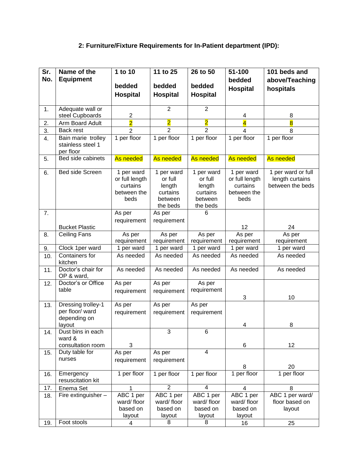# **2: Furniture/Fixture Requirements for In-Patient department (IPD):**

| No.<br><b>Equipment</b><br>above/Teaching<br>bedded<br>bedded<br>bedded<br>bedded<br><b>Hospital</b><br>hospitals<br><b>Hospital</b><br>Hospital<br><b>Hospital</b><br>$\overline{2}$<br>$\overline{2}$<br>Adequate wall or<br>1.<br>$\overline{\mathbf{c}}$<br>steel Cupboards<br>8<br>4<br>$\overline{2}$<br>$\overline{2}$<br>$\overline{2}$<br>$\overline{\mathbf{4}}$<br>$\overline{8}$<br>2.<br>Arm Board Adult<br>$\overline{2}$<br>$\overline{2}$<br>3.<br>Back rest<br>$\overline{2}$<br>8<br>4<br>1 per floor<br>1 per floor<br>1 per floor<br>1 per floor<br>Bain marie trolley<br>1 per floor<br>4.<br>stainless steel 1<br>per floor<br>Bed side cabinets<br>As needed<br>As needed<br>As needed<br>As needed<br>As needed<br>5.<br>Bed side Screen<br>1 per ward<br>1 per ward or full<br>1 per ward<br>1 per ward<br>1 per ward<br>6.<br>length curtains<br>or full length<br>or full<br>or full<br>or full length<br>between the beds<br>curtains<br>curtains<br>length<br>length<br>between the<br>between the<br>curtains<br>curtains<br>beds<br>beds<br>between<br>between<br>the beds<br>the beds<br>7.<br>As per<br>As per<br>6 | Sr. | Name of the | 1 to 10     | 11 to 25    | 26 to 50 | 51-100 | 101 beds and |
|------------------------------------------------------------------------------------------------------------------------------------------------------------------------------------------------------------------------------------------------------------------------------------------------------------------------------------------------------------------------------------------------------------------------------------------------------------------------------------------------------------------------------------------------------------------------------------------------------------------------------------------------------------------------------------------------------------------------------------------------------------------------------------------------------------------------------------------------------------------------------------------------------------------------------------------------------------------------------------------------------------------------------------------------------------------------------------------------------------------------------------------------------|-----|-------------|-------------|-------------|----------|--------|--------------|
|                                                                                                                                                                                                                                                                                                                                                                                                                                                                                                                                                                                                                                                                                                                                                                                                                                                                                                                                                                                                                                                                                                                                                      |     |             |             |             |          |        |              |
|                                                                                                                                                                                                                                                                                                                                                                                                                                                                                                                                                                                                                                                                                                                                                                                                                                                                                                                                                                                                                                                                                                                                                      |     |             |             |             |          |        |              |
|                                                                                                                                                                                                                                                                                                                                                                                                                                                                                                                                                                                                                                                                                                                                                                                                                                                                                                                                                                                                                                                                                                                                                      |     |             |             |             |          |        |              |
|                                                                                                                                                                                                                                                                                                                                                                                                                                                                                                                                                                                                                                                                                                                                                                                                                                                                                                                                                                                                                                                                                                                                                      |     |             |             |             |          |        |              |
|                                                                                                                                                                                                                                                                                                                                                                                                                                                                                                                                                                                                                                                                                                                                                                                                                                                                                                                                                                                                                                                                                                                                                      |     |             |             |             |          |        |              |
|                                                                                                                                                                                                                                                                                                                                                                                                                                                                                                                                                                                                                                                                                                                                                                                                                                                                                                                                                                                                                                                                                                                                                      |     |             |             |             |          |        |              |
|                                                                                                                                                                                                                                                                                                                                                                                                                                                                                                                                                                                                                                                                                                                                                                                                                                                                                                                                                                                                                                                                                                                                                      |     |             |             |             |          |        |              |
|                                                                                                                                                                                                                                                                                                                                                                                                                                                                                                                                                                                                                                                                                                                                                                                                                                                                                                                                                                                                                                                                                                                                                      |     |             |             |             |          |        |              |
|                                                                                                                                                                                                                                                                                                                                                                                                                                                                                                                                                                                                                                                                                                                                                                                                                                                                                                                                                                                                                                                                                                                                                      |     |             |             |             |          |        |              |
|                                                                                                                                                                                                                                                                                                                                                                                                                                                                                                                                                                                                                                                                                                                                                                                                                                                                                                                                                                                                                                                                                                                                                      |     |             |             |             |          |        |              |
|                                                                                                                                                                                                                                                                                                                                                                                                                                                                                                                                                                                                                                                                                                                                                                                                                                                                                                                                                                                                                                                                                                                                                      |     |             |             |             |          |        |              |
| 12<br><b>Bucket Plastic</b><br>24                                                                                                                                                                                                                                                                                                                                                                                                                                                                                                                                                                                                                                                                                                                                                                                                                                                                                                                                                                                                                                                                                                                    |     |             | requirement | requirement |          |        |              |
| <b>Ceiling Fans</b><br>As per<br>As per<br>As per<br>As per<br>As per<br>8.                                                                                                                                                                                                                                                                                                                                                                                                                                                                                                                                                                                                                                                                                                                                                                                                                                                                                                                                                                                                                                                                          |     |             |             |             |          |        |              |
| requirement<br>requirement<br>requirement<br>requirement<br>requirement                                                                                                                                                                                                                                                                                                                                                                                                                                                                                                                                                                                                                                                                                                                                                                                                                                                                                                                                                                                                                                                                              |     |             |             |             |          |        |              |
| Clock 1per ward<br>1 per ward<br>$\overline{1}$ per ward<br>1 per ward<br>1 per ward<br>1 per ward<br>9.                                                                                                                                                                                                                                                                                                                                                                                                                                                                                                                                                                                                                                                                                                                                                                                                                                                                                                                                                                                                                                             |     |             |             |             |          |        |              |
| Containers for<br>As needed<br>As needed<br>As needed<br>As needed<br>As needed<br>10.<br>kitchen                                                                                                                                                                                                                                                                                                                                                                                                                                                                                                                                                                                                                                                                                                                                                                                                                                                                                                                                                                                                                                                    |     |             |             |             |          |        |              |
| Doctor's chair for<br>As needed<br>As needed<br>As needed<br>As needed<br>As needed<br>11.<br>OP & ward,                                                                                                                                                                                                                                                                                                                                                                                                                                                                                                                                                                                                                                                                                                                                                                                                                                                                                                                                                                                                                                             |     |             |             |             |          |        |              |
| Doctor's or Office<br>As per<br>12.<br>As per<br>As per<br>table<br>requirement<br>requirement<br>requirement<br>3<br>10                                                                                                                                                                                                                                                                                                                                                                                                                                                                                                                                                                                                                                                                                                                                                                                                                                                                                                                                                                                                                             |     |             |             |             |          |        |              |
| Dressing trolley-1<br>13.<br>As per<br>As per<br>As per                                                                                                                                                                                                                                                                                                                                                                                                                                                                                                                                                                                                                                                                                                                                                                                                                                                                                                                                                                                                                                                                                              |     |             |             |             |          |        |              |
| per floor/ ward<br>requirement<br>requirement<br>requirement<br>depending on                                                                                                                                                                                                                                                                                                                                                                                                                                                                                                                                                                                                                                                                                                                                                                                                                                                                                                                                                                                                                                                                         |     |             |             |             |          |        |              |
| 4<br>layout<br>8<br>Dust bins in each<br>3<br>6<br>14.                                                                                                                                                                                                                                                                                                                                                                                                                                                                                                                                                                                                                                                                                                                                                                                                                                                                                                                                                                                                                                                                                               |     |             |             |             |          |        |              |
| ward &                                                                                                                                                                                                                                                                                                                                                                                                                                                                                                                                                                                                                                                                                                                                                                                                                                                                                                                                                                                                                                                                                                                                               |     |             |             |             |          |        |              |
| consultation room<br>3<br>6<br>12                                                                                                                                                                                                                                                                                                                                                                                                                                                                                                                                                                                                                                                                                                                                                                                                                                                                                                                                                                                                                                                                                                                    |     |             |             |             |          |        |              |
| Duty table for<br>$\overline{4}$<br>As per<br>As per<br>15.                                                                                                                                                                                                                                                                                                                                                                                                                                                                                                                                                                                                                                                                                                                                                                                                                                                                                                                                                                                                                                                                                          |     |             |             |             |          |        |              |
| nurses<br>requirement<br>requirement                                                                                                                                                                                                                                                                                                                                                                                                                                                                                                                                                                                                                                                                                                                                                                                                                                                                                                                                                                                                                                                                                                                 |     |             |             |             |          |        |              |
| 20<br>8                                                                                                                                                                                                                                                                                                                                                                                                                                                                                                                                                                                                                                                                                                                                                                                                                                                                                                                                                                                                                                                                                                                                              |     |             |             |             |          |        |              |
| 1 per floor<br>1 per floor<br>1 per floor<br>1 per floor<br>1 per floor<br>Emergency<br>16.<br>resuscitation kit                                                                                                                                                                                                                                                                                                                                                                                                                                                                                                                                                                                                                                                                                                                                                                                                                                                                                                                                                                                                                                     |     |             |             |             |          |        |              |
| $\overline{2}$<br>4<br>Enema Set<br>4<br>8<br>17.<br>1                                                                                                                                                                                                                                                                                                                                                                                                                                                                                                                                                                                                                                                                                                                                                                                                                                                                                                                                                                                                                                                                                               |     |             |             |             |          |        |              |
| ABC 1 per<br>ABC 1 per<br>ABC 1 per<br>ABC 1 per<br>ABC 1 per ward/<br>Fire extinguisher -<br>18.                                                                                                                                                                                                                                                                                                                                                                                                                                                                                                                                                                                                                                                                                                                                                                                                                                                                                                                                                                                                                                                    |     |             |             |             |          |        |              |
| ward/floor<br>ward/floor<br>ward/floor<br>ward/floor<br>floor based on<br>based on<br>based on                                                                                                                                                                                                                                                                                                                                                                                                                                                                                                                                                                                                                                                                                                                                                                                                                                                                                                                                                                                                                                                       |     |             |             |             |          |        |              |
| based on<br>based on<br>layout<br>layout<br>layout<br>layout<br>layout                                                                                                                                                                                                                                                                                                                                                                                                                                                                                                                                                                                                                                                                                                                                                                                                                                                                                                                                                                                                                                                                               |     |             |             |             |          |        |              |
| Foot stools<br>8<br>8<br>4<br>16<br>25<br>19.                                                                                                                                                                                                                                                                                                                                                                                                                                                                                                                                                                                                                                                                                                                                                                                                                                                                                                                                                                                                                                                                                                        |     |             |             |             |          |        |              |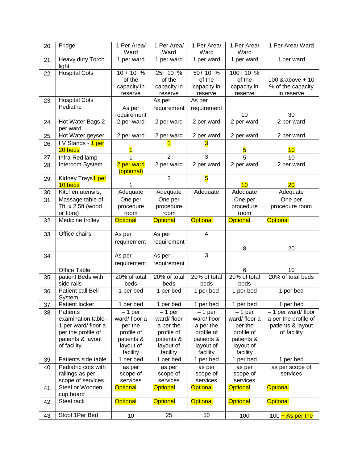| 20. | Fridge                        | 1 Per Area/     | 1 Per Area/     | 1 Per Area/             | 1 Per Area/     | 1 Per Area/ Ward     |
|-----|-------------------------------|-----------------|-----------------|-------------------------|-----------------|----------------------|
|     |                               | Ward            | Ward            | Ward                    | Ward            |                      |
| 21. | Heavy duty Torch<br>light     | 1 per ward      | 1 per ward      | 1 per ward              | 1 per ward      | 1 per ward           |
| 22. | <b>Hospital Cots</b>          | $10 + 10 %$     | 25+10 %         | 50+10 %                 | $100+10%$       |                      |
|     |                               | of the          | of the          | of the                  | of the          | 100 & above + 10     |
|     |                               | capacity in     | capacity in     | capacity in             | capacity in     | % of the capacity    |
|     |                               | reserve         | reserve         | reserve                 | reserve         | in reserve           |
| 23. | <b>Hospital Cots</b>          |                 | As per          | As per                  |                 |                      |
|     | Pediatric                     | As per          | requirement     | requirement             |                 |                      |
|     |                               | requirement     |                 |                         | 10              | 30                   |
| 24. | Hot Water Bags 2              | 2 per ward      | 2 per ward      | 2 per ward              | 2 per ward      | 2 per ward           |
|     | per ward                      |                 |                 |                         |                 |                      |
| 25. | Hot Water geyser              | 2 per ward      | 2 per ward      | 2 per ward              | 2 per ward      | 2 per ward           |
| 26. | IV Stands - 1 per             |                 |                 |                         |                 |                      |
|     | 20 beds                       |                 |                 |                         | 5               | 10                   |
| 27. | Infra-Red lamp                |                 | $\overline{2}$  | $\overline{3}$          | 5               | 10                   |
| 28. | Intercom System               | 2 per ward      | 2 per ward      | 2 per ward              | 2 per ward      | 2 per ward           |
|     |                               | (optional)      |                 |                         |                 |                      |
| 29. | Kidney Trays <sup>1</sup> per |                 | $\overline{2}$  | $\overline{\mathbf{5}}$ |                 |                      |
|     | 10 beds                       |                 |                 |                         | 10              | 20                   |
| 30. | Kitchen utensils,             | Adequate        | Adequate        | Adequate                | Adequate        | Adequate             |
| 31. | Massage table of              | One per         | One per         |                         | One per         | One per              |
|     | 7ft. x 2.5ft (wood            | procedure       | procedure       |                         | procedure       | procedure room       |
|     | or fibre)                     | room            | room            |                         | room            |                      |
| 32. | Medicine trolley              | <b>Optional</b> | <b>Optional</b> | <b>Optional</b>         | <b>Optional</b> | <b>Optional</b>      |
| 33. | Office chairs                 | As per          | As per          | $\overline{4}$          |                 |                      |
|     |                               | requirement     | requirement     |                         |                 |                      |
|     |                               |                 |                 |                         | 8               | 20                   |
| 34. |                               | As per          | As per          | 3                       |                 |                      |
|     |                               | requirement     | requirement     |                         |                 |                      |
|     | <b>Office Table</b>           |                 |                 |                         | 6               | 10                   |
| 35. | patient Beds with             | 20% of total    | 20% of total    | 20% of total            | 20% of total    | 20% of total beds    |
|     | side rails                    | beds            | beds            | beds                    | beds            |                      |
| 36. | Patient call Bell             | 1 per bed       | 1 per bed       | 1 per bed               | 1 per bed       | 1 per bed            |
|     | System                        |                 |                 |                         |                 |                      |
| 37. | Patient locker                | 1 per bed       | 1 per bed       | 1 per bed               | 1 per bed       | 1 per bed            |
| 38. | Patients                      | $-1$ per        | $-1$ per        | $-1$ per                | $-1$ per        | - 1 per ward/floor   |
|     | examination table-            | ward/floor a    | ward/floor      | ward/floor              | ward/floor a    | a per the profile of |
|     | 1 per ward/floor a            | per the         | a per the       | a per the               | per the         | patients & layout    |
|     | per the profile of            | profile of      | profile of      | profile of              | profile of      | of facility          |
|     | patients & layout             | patients &      | patients &      | patients &              | patients &      |                      |
|     | of facility                   | layout of       | layout of       | layout of               | layout of       |                      |
|     |                               | facility        | facility        | facility                | facility        |                      |
| 39. | Patients side table           | 1 per bed       | 1 per bed       | 1 per bed               | 1 per bed       | 1 per bed            |
| 40. | Pediatric cots with           | as per          | as per          | as per                  | as per          | as per scope of      |
|     | railings as per               | scope of        | scope of        | scope of                | scope of        | services             |
|     | scope of services             | services        | services        | services                | services        |                      |
| 41. | Steel or Wooden               | <b>Optional</b> | <b>Optional</b> | <b>Optional</b>         | <b>Optional</b> | <b>Optional</b>      |
|     | cup board                     |                 |                 |                         |                 |                      |
| 42. | Steel rack                    | <b>Optional</b> | <b>Optional</b> | <b>Optional</b>         | <b>Optional</b> | <b>Optional</b>      |
| 43. | Stool 1Per Bed                |                 | 25              | 50                      |                 |                      |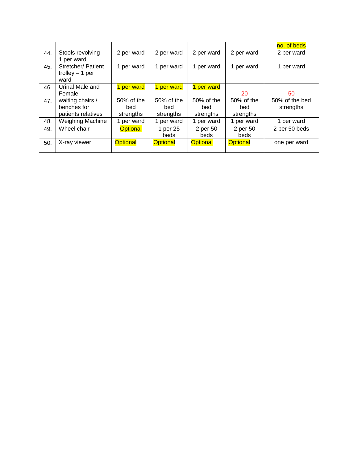|     |                         |                 |                 |                 |                 | no. of beds    |
|-----|-------------------------|-----------------|-----------------|-----------------|-----------------|----------------|
| 44. | Stools revolving -      | 2 per ward      | 2 per ward      | 2 per ward      | 2 per ward      | 2 per ward     |
|     | 1 per ward              |                 |                 |                 |                 |                |
| 45. | Stretcher/ Patient      | 1 per ward      | 1 per ward      | 1 per ward      | 1 per ward      | 1 per ward     |
|     | trolley $-1$ per        |                 |                 |                 |                 |                |
|     | ward                    |                 |                 |                 |                 |                |
| 46. | Urinal Male and         | 1 per ward      | 1 per ward      | 1 per ward      |                 |                |
|     | Female                  |                 |                 |                 | 20              | 50             |
| 47. | waiting chairs /        | 50% of the      | 50% of the      | 50% of the      | 50% of the      | 50% of the bed |
|     | benches for             | bed             | bed             | bed             | bed             | strengths      |
|     | patients relatives      | strengths       | strengths       | strengths       | strengths       |                |
| 48. | <b>Weighing Machine</b> | 1 per ward      | 1 per ward      | 1 per ward      | 1 per ward      | 1 per ward     |
| 49. | Wheel chair             | <b>Optional</b> | 1 per 25        | 2 per 50        | 2 per 50        | 2 per 50 beds  |
|     |                         |                 | beds            | beds            | beds            |                |
| 50. | X-ray viewer            | <b>Optional</b> | <b>Optional</b> | <b>Optional</b> | <b>Optional</b> | one per ward   |
|     |                         |                 |                 |                 |                 |                |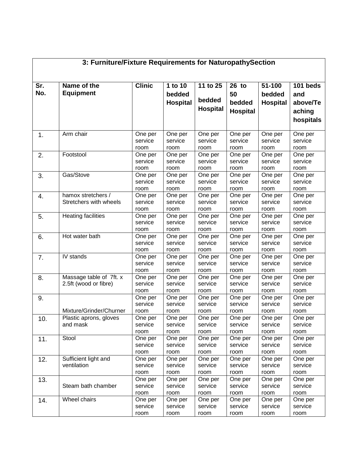|            | 3: Furniture/Fixture Requirements for NaturopathySection |                            |                                      |                                       |                                          |                                     |                                                    |  |  |  |  |  |
|------------|----------------------------------------------------------|----------------------------|--------------------------------------|---------------------------------------|------------------------------------------|-------------------------------------|----------------------------------------------------|--|--|--|--|--|
| Sr.<br>No. | Name of the<br><b>Equipment</b>                          | <b>Clinic</b>              | 1 to 10<br>bedded<br><b>Hospital</b> | 11 to 25<br>bedded<br><b>Hospital</b> | 26 to<br>50<br>bedded<br><b>Hospital</b> | 51-100<br>bedded<br><b>Hospital</b> | 101 beds<br>and<br>above/Te<br>aching<br>hospitals |  |  |  |  |  |
| 1.         | Arm chair                                                | One per<br>service<br>room | One per<br>service<br>room           | One per<br>service<br>room            | One per<br>service<br>room               | One per<br>service<br>room          | One per<br>service<br>room                         |  |  |  |  |  |
| 2.         | Footstool                                                | One per<br>service<br>room | One per<br>service<br>room           | One per<br>service<br>room            | One per<br>service<br>room               | One per<br>service<br>room          | One per<br>service<br>room                         |  |  |  |  |  |
| 3.         | Gas/Stove                                                | One per<br>service<br>room | One per<br>service<br>room           | One per<br>service<br>room            | One per<br>service<br>room               | One per<br>service<br>room          | One per<br>service<br>room                         |  |  |  |  |  |
| 4.         | hamox stretchers /<br>Stretchers with wheels             | One per<br>service<br>room | One per<br>service<br>room           | One per<br>service<br>room            | One per<br>service<br>room               | One per<br>service<br>room          | One per<br>service<br>room                         |  |  |  |  |  |
| 5.         | <b>Heating facilities</b>                                | One per<br>service<br>room | One per<br>service<br>room           | One per<br>service<br>room            | One per<br>service<br>room               | One per<br>service<br>room          | One per<br>service<br>room                         |  |  |  |  |  |
| 6.         | Hot water bath                                           | One per<br>service<br>room | One per<br>service<br>room           | One per<br>service<br>room            | One per<br>service<br>room               | One per<br>service<br>room          | One per<br>service<br>room                         |  |  |  |  |  |
| 7.         | IV stands                                                | One per<br>service<br>room | One per<br>service<br>room           | One per<br>service<br>room            | One per<br>service<br>room               | One per<br>service<br>room          | One per<br>service<br>room                         |  |  |  |  |  |
| 8.         | Massage table of 7ft. x<br>2.5ft (wood or fibre)         | One per<br>service<br>room | One per<br>service<br>room           | One per<br>service<br>room            | One per<br>service<br>room               | One per<br>service<br>room          | One per<br>service<br>room                         |  |  |  |  |  |
| 9.         | Mixture/Grinder/Churner                                  | One per<br>service<br>room | One per<br>service<br>room           | One per<br>service<br>room            | One per<br>service<br>room               | One per<br>service<br>room          | One per<br>service<br>room                         |  |  |  |  |  |
| 10.        | Plastic aprons, gloves<br>and mask                       | One per<br>service<br>room | One per<br>service<br>room           | One per<br>service<br>room            | One per<br>service<br>room               | One per<br>service<br>room          | One per<br>service<br>room                         |  |  |  |  |  |
| 11.        | Stool                                                    | One per<br>service<br>room | One per<br>service<br>room           | One per<br>service<br>room            | One per<br>service<br>room               | One per<br>service<br>room          | One per<br>service<br>room                         |  |  |  |  |  |
| 12.        | Sufficient light and<br>ventilation                      | One per<br>service<br>room | One per<br>service<br>room           | One per<br>service<br>room            | One per<br>service<br>room               | One per<br>service<br>room          | One per<br>service<br>room                         |  |  |  |  |  |
| 13.        | Steam bath chamber                                       | One per<br>service<br>room | One per<br>service<br>room           | One per<br>service<br>room            | One per<br>service<br>room               | One per<br>service<br>room          | One per<br>service<br>room                         |  |  |  |  |  |
| 14.        | Wheel chairs                                             | One per<br>service<br>room | One per<br>service<br>room           | One per<br>service<br>room            | One per<br>service<br>room               | One per<br>service<br>room          | One per<br>service<br>room                         |  |  |  |  |  |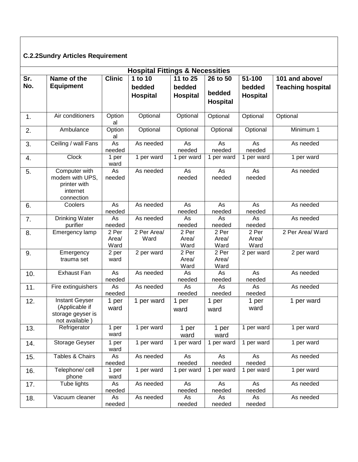# **C.2.2Sundry Articles Requirement**

|            |                                                                                |                        | <b>Hospital Fittings &amp; Necessities</b> |                                                    |                                       |                                     |                                            |
|------------|--------------------------------------------------------------------------------|------------------------|--------------------------------------------|----------------------------------------------------|---------------------------------------|-------------------------------------|--------------------------------------------|
| Sr.<br>No. | Name of the<br><b>Equipment</b>                                                | <b>Clinic</b>          | 1 to 10<br>bedded<br><b>Hospital</b>       | $\overline{11}$ to 25<br>bedded<br><b>Hospital</b> | 26 to 50<br>bedded<br><b>Hospital</b> | 51-100<br>bedded<br><b>Hospital</b> | 101 and above/<br><b>Teaching hospital</b> |
| 1.         | Air conditioners                                                               | Option<br>al           | Optional                                   | Optional                                           | Optional                              | Optional                            | Optional                                   |
| 2.         | Ambulance                                                                      | Option<br>al           | Optional                                   | Optional                                           | Optional                              | Optional                            | Minimum 1                                  |
| 3.         | Ceiling / wall Fans                                                            | As<br>needed           | As needed                                  | As<br>needed                                       | As<br>needed                          | As<br>needed                        | As needed                                  |
| 4.         | <b>Clock</b>                                                                   | 1 per<br>ward          | 1 per ward                                 | 1 per ward                                         | 1 per ward                            | 1 per ward                          | 1 per ward                                 |
| 5.         | Computer with<br>modem with UPS,<br>printer with<br>internet<br>connection     | As<br>needed           | As needed                                  | As<br>needed                                       | As<br>needed                          | As<br>needed                        | As needed                                  |
| 6.         | Coolers                                                                        | As<br>needed           | As needed                                  | As<br>needed                                       | As<br>needed                          | As<br>needed                        | As needed                                  |
| 7.         | <b>Drinking Water</b><br>purifier                                              | As<br>needed           | As needed                                  | As<br>needed                                       | As<br>needed                          | As<br>needed                        | As needed                                  |
| 8.         | Emergency lamp                                                                 | 2 Per<br>Area/<br>Ward | 2 Per Area/<br>Ward                        | 2 Per<br>Area/<br>Ward                             | 2 Per<br>Area/<br>Ward                | 2 Per<br>Area/<br>Ward              | 2 Per Area/ Ward                           |
| 9.         | Emergency<br>trauma set                                                        | 2 per<br>ward          | 2 per ward                                 | 2 Per<br>Area/<br>Ward                             | 2 Per<br>Area/<br>Ward                | 2 per ward                          | 2 per ward                                 |
| 10.        | <b>Exhaust Fan</b>                                                             | As<br>needed           | As needed                                  | As<br>needed                                       | As<br>needed                          | As<br>needed                        | As needed                                  |
| 11.        | Fire extinguishers                                                             | As<br>needed           | As needed                                  | As<br>needed                                       | As<br>needed                          | As<br>needed                        | As needed                                  |
| 12.        | <b>Instant Geyser</b><br>(Applicable if<br>storage geyser is<br>not available) | 1 per<br>ward          | 1 per ward                                 | 1 per<br>ward                                      | 1 per<br>ward                         | 1 per<br>ward                       | 1 per ward                                 |
| 13.        | Refrigerator                                                                   | 1 per<br>ward          | 1 per ward                                 | 1 per<br>ward                                      | 1 per<br>ward                         | 1 per ward                          | 1 per ward                                 |
| 14.        | Storage Geyser                                                                 | 1 per<br>ward          | 1 per ward                                 | 1 per ward                                         | 1 per ward                            | 1 per ward                          | 1 per ward                                 |
| 15.        | Tables & Chairs                                                                | As<br>needed           | As needed                                  | As<br>needed                                       | As<br>needed                          | As<br>needed                        | As needed                                  |
| 16.        | Telephone/ cell<br>phone                                                       | 1 per<br>ward          | 1 per ward                                 | 1 per ward                                         | 1 per ward                            | 1 per ward                          | 1 per ward                                 |
| 17.        | Tube lights                                                                    | As<br>needed           | As needed                                  | As<br>needed                                       | As<br>needed                          | As<br>needed                        | As needed                                  |
| 18.        | Vacuum cleaner                                                                 | As<br>needed           | As needed                                  | As<br>needed                                       | As<br>needed                          | As<br>needed                        | As needed                                  |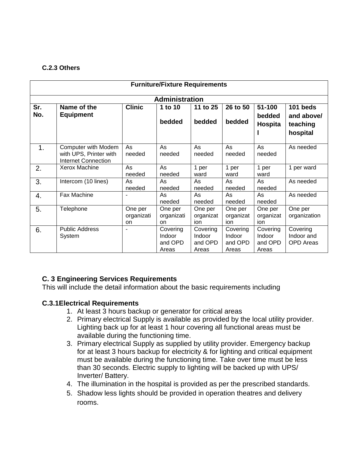#### **C.2.3 Others**

|            | <b>Furniture/Fixture Requirements</b>                                       |                                    |                                        |                                        |                                        |                                        |                                                |  |  |  |  |
|------------|-----------------------------------------------------------------------------|------------------------------------|----------------------------------------|----------------------------------------|----------------------------------------|----------------------------------------|------------------------------------------------|--|--|--|--|
|            | <b>Administration</b>                                                       |                                    |                                        |                                        |                                        |                                        |                                                |  |  |  |  |
| Sr.<br>No. | Name of the<br><b>Equipment</b>                                             | <b>Clinic</b>                      | 1 to 10<br>bedded                      | 11 to 25<br>bedded                     | 26 to 50<br>bedded                     | 51-100<br>bedded<br>Hospita            | 101 beds<br>and above/<br>teaching<br>hospital |  |  |  |  |
| 1.         | Computer with Modem<br>with UPS, Printer with<br><b>Internet Connection</b> | As<br>needed                       | As<br>needed                           | As<br>needed                           | As<br>needed                           | As<br>needed                           | As needed                                      |  |  |  |  |
| 2.         | Xerox Machine                                                               | As<br>needed                       | As<br>needed                           | 1 per<br>ward                          | 1 per<br>ward                          | 1 per<br>ward                          | 1 per ward                                     |  |  |  |  |
| 3.         | Intercom (10 lines)                                                         | As<br>needed                       | As<br>needed                           | As<br>needed                           | As<br>needed                           | As<br>needed                           | As needed                                      |  |  |  |  |
| 4.         | Fax Machine                                                                 |                                    | As<br>needed                           | As<br>needed                           | As<br>needed                           | As<br>needed                           | As needed                                      |  |  |  |  |
| 5.         | Telephone                                                                   | One per<br>organizati<br><b>on</b> | One per<br>organizati<br>on            | One per<br>organizat<br>ion            | One per<br>organizat<br>ion            | One per<br>organizat<br>ion            | One per<br>organization                        |  |  |  |  |
| 6.         | <b>Public Address</b><br>System                                             | ۰                                  | Covering<br>Indoor<br>and OPD<br>Areas | Covering<br>Indoor<br>and OPD<br>Areas | Covering<br>Indoor<br>and OPD<br>Areas | Covering<br>Indoor<br>and OPD<br>Areas | Covering<br>Indoor and<br><b>OPD</b> Areas     |  |  |  |  |

# **C. 3 Engineering Services Requirements**

This will include the detail information about the basic requirements including

#### **C.3.1Electrical Requirements**

- 1. At least 3 hours backup or generator for critical areas
- 2. Primary electrical Supply is available as provided by the local utility provider. Lighting back up for at least 1 hour covering all functional areas must be available during the functioning time.
- 3. Primary electrical Supply as supplied by utility provider. Emergency backup for at least 3 hours backup for electricity & for lighting and critical equipment must be available during the functioning time. Take over time must be less than 30 seconds. Electric supply to lighting will be backed up with UPS/ Inverter/ Battery.
- 4. The illumination in the hospital is provided as per the prescribed standards.
- 5. Shadow less lights should be provided in operation theatres and delivery rooms.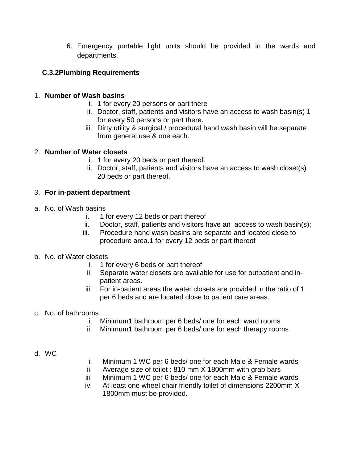6. Emergency portable light units should be provided in the wards and departments.

# **C.3.2Plumbing Requirements**

### 1. **Number of Wash basins**

- i. 1 for every 20 persons or part there
- ii. Doctor, staff, patients and visitors have an access to wash basin(s) 1 for every 50 persons or part there.
- iii. Dirty utility & surgical / procedural hand wash basin will be separate from general use & one each.

### 2. **Number of Water closets**

- i. 1 for every 20 beds or part thereof.
- ii. Doctor, staff, patients and visitors have an access to wash closet(s) 20 beds or part thereof.

### 3. **For in-patient department**

- a. No. of Wash basins
	- i. 1 for every 12 beds or part thereof
	- ii. Doctor, staff, patients and visitors have an access to wash basin(s);
	- iii. Procedure hand wash basins are separate and located close to procedure area.1 for every 12 beds or part thereof

#### b. No. of Water closets

- i. 1 for every 6 beds or part thereof
- ii. Separate water closets are available for use for outpatient and inpatient areas.
- iii. For in-patient areas the water closets are provided in the ratio of 1 per 6 beds and are located close to patient care areas.

#### c. No. of bathrooms

- i. Minimum1 bathroom per 6 beds/ one for each ward rooms
- ii. Minimum1 bathroom per 6 beds/ one for each therapy rooms

#### d. WC

- i. Minimum 1 WC per 6 beds/ one for each Male & Female wards
- ii. Average size of toilet : 810 mm X 1800mm with grab bars
- iii. Minimum 1 WC per 6 beds/ one for each Male & Female wards
- iv. At least one wheel chair friendly toilet of dimensions 2200mm X 1800mm must be provided.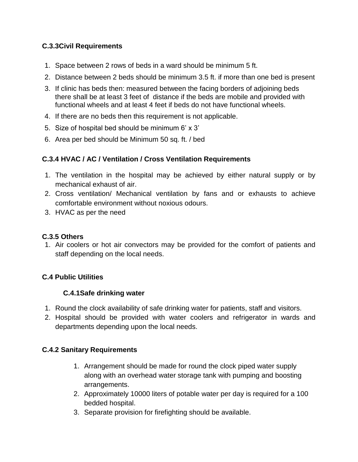# **C.3.3Civil Requirements**

- 1. Space between 2 rows of beds in a ward should be minimum 5 ft.
- 2. Distance between 2 beds should be minimum 3.5 ft. if more than one bed is present
- 3. If clinic has beds then: measured between the facing borders of adjoining beds there shall be at least 3 feet of distance if the beds are mobile and provided with functional wheels and at least 4 feet if beds do not have functional wheels.
- 4. If there are no beds then this requirement is not applicable.
- 5. Size of hospital bed should be minimum 6' x 3'
- 6. Area per bed should be Minimum 50 sq. ft. / bed

# **C.3.4 HVAC / AC / Ventilation / Cross Ventilation Requirements**

- 1. The ventilation in the hospital may be achieved by either natural supply or by mechanical exhaust of air.
- 2. Cross ventilation/ Mechanical ventilation by fans and or exhausts to achieve comfortable environment without noxious odours.
- 3. HVAC as per the need

#### **C.3.5 Others**

1. Air coolers or hot air convectors may be provided for the comfort of patients and staff depending on the local needs.

# **C.4 Public Utilities**

# **C.4.1Safe drinking water**

- 1. Round the clock availability of safe drinking water for patients, staff and visitors.
- 2. Hospital should be provided with water coolers and refrigerator in wards and departments depending upon the local needs.

# **C.4.2 Sanitary Requirements**

- 1. Arrangement should be made for round the clock piped water supply along with an overhead water storage tank with pumping and boosting arrangements.
- 2. Approximately 10000 liters of potable water per day is required for a 100 bedded hospital.
- 3. Separate provision for firefighting should be available.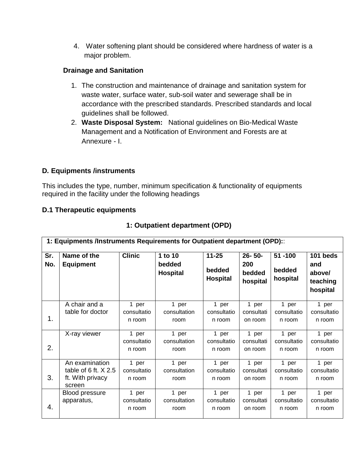4. Water softening plant should be considered where hardness of water is a major problem.

# **Drainage and Sanitation**

- 1. The construction and maintenance of drainage and sanitation system for waste water, surface water, sub-soil water and sewerage shall be in accordance with the prescribed standards. Prescribed standards and local guidelines shall be followed.
- 2. **Waste Disposal System:** National guidelines on Bio-Medical Waste Management and a Notification of Environment and Forests are at Annexure - I.

# **D***.* **Equipments /instruments**

This includes the type, number, minimum specification & functionality of equipments required in the facility under the following headings

# **D.1 Therapeutic equipments**

|            | 1: Equipments /Instruments Requirements for Outpatient department (OPD): |                                |                                      |                                        |                                          |                                |                                                   |  |  |  |
|------------|--------------------------------------------------------------------------|--------------------------------|--------------------------------------|----------------------------------------|------------------------------------------|--------------------------------|---------------------------------------------------|--|--|--|
| Sr.<br>No. | Name of the<br><b>Equipment</b>                                          | <b>Clinic</b>                  | 1 to 10<br>bedded<br><b>Hospital</b> | $11 - 25$<br>bedded<br><b>Hospital</b> | $26 - 50 -$<br>200<br>bedded<br>hospital | 51-100<br>bedded<br>hospital   | 101 beds<br>and<br>above/<br>teaching<br>hospital |  |  |  |
| 1.         | A chair and a<br>table for doctor                                        | 1 per<br>consultatio<br>n room | 1 per<br>consultation<br>room        | 1 per<br>consultatio<br>n room         | 1 per<br>consultati<br>on room           | 1 per<br>consultatio<br>n room | 1 per<br>consultatio<br>n room                    |  |  |  |
| 2.         | X-ray viewer                                                             | 1 per<br>consultatio<br>n room | 1 per<br>consultation<br>room        | 1 per<br>consultatio<br>n room         | 1 per<br>consultati<br>on room           | 1 per<br>consultatio<br>n room | 1 per<br>consultatio<br>n room                    |  |  |  |
| 3.         | An examination<br>table of $6$ ft. $X$ 2.5<br>ft. With privacy<br>screen | 1 per<br>consultatio<br>n room | 1 per<br>consultation<br>room        | 1 per<br>consultatio<br>n room         | 1 per<br>consultati<br>on room           | 1 per<br>consultatio<br>n room | 1 per<br>consultatio<br>n room                    |  |  |  |
| 4.         | Blood pressure<br>apparatus,                                             | 1 per<br>consultatio<br>n room | 1 per<br>consultation<br>room        | 1 per<br>consultatio<br>n room         | 1 per<br>consultati<br>on room           | 1 per<br>consultatio<br>n room | 1 per<br>consultatio<br>n room                    |  |  |  |

# **1: Outpatient department (OPD)**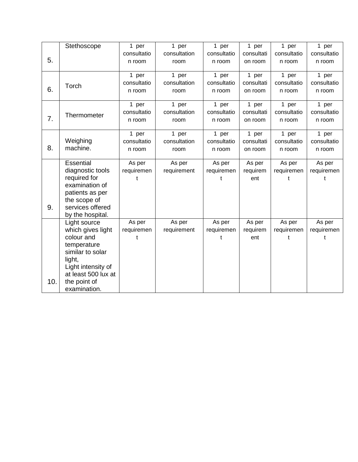|                 | Stethoscope                                                                                                                                                                                                                                                                                                                         | 1 per                                                                              | 1 per                                                                 | 1 per                                                                              | 1 per                                                                            | 1 per                                                                     | 1 per                                         |
|-----------------|-------------------------------------------------------------------------------------------------------------------------------------------------------------------------------------------------------------------------------------------------------------------------------------------------------------------------------------|------------------------------------------------------------------------------------|-----------------------------------------------------------------------|------------------------------------------------------------------------------------|----------------------------------------------------------------------------------|---------------------------------------------------------------------------|-----------------------------------------------|
|                 |                                                                                                                                                                                                                                                                                                                                     | consultatio                                                                        | consultation                                                          | consultatio                                                                        | consultati                                                                       | consultatio                                                               | consultatio                                   |
| 5.              |                                                                                                                                                                                                                                                                                                                                     | n room                                                                             | room                                                                  | n room                                                                             | on room                                                                          | n room                                                                    | n room                                        |
|                 |                                                                                                                                                                                                                                                                                                                                     |                                                                                    |                                                                       |                                                                                    |                                                                                  |                                                                           |                                               |
|                 |                                                                                                                                                                                                                                                                                                                                     | 1 per                                                                              | 1 per                                                                 | 1 per                                                                              | 1 per                                                                            | 1 per                                                                     | 1 per                                         |
|                 | Torch                                                                                                                                                                                                                                                                                                                               | consultatio                                                                        | consultation                                                          | consultatio                                                                        | consultati                                                                       | consultatio                                                               | consultatio                                   |
| 6.              |                                                                                                                                                                                                                                                                                                                                     | n room                                                                             | room                                                                  | n room                                                                             | on room                                                                          | n room                                                                    | n room                                        |
|                 |                                                                                                                                                                                                                                                                                                                                     |                                                                                    |                                                                       |                                                                                    |                                                                                  |                                                                           |                                               |
|                 |                                                                                                                                                                                                                                                                                                                                     |                                                                                    |                                                                       |                                                                                    |                                                                                  |                                                                           |                                               |
|                 | Thermometer                                                                                                                                                                                                                                                                                                                         |                                                                                    |                                                                       |                                                                                    |                                                                                  |                                                                           |                                               |
|                 |                                                                                                                                                                                                                                                                                                                                     |                                                                                    |                                                                       |                                                                                    |                                                                                  |                                                                           |                                               |
|                 |                                                                                                                                                                                                                                                                                                                                     |                                                                                    | 1 per                                                                 |                                                                                    |                                                                                  | 1 per                                                                     | 1 per                                         |
|                 |                                                                                                                                                                                                                                                                                                                                     | consultatio                                                                        | consultation                                                          | consultatio                                                                        | consultati                                                                       | consultatio                                                               | consultatio                                   |
| 8.              | machine.                                                                                                                                                                                                                                                                                                                            | n room                                                                             | room                                                                  | n room                                                                             | on room                                                                          | n room                                                                    | n room                                        |
|                 |                                                                                                                                                                                                                                                                                                                                     |                                                                                    |                                                                       |                                                                                    |                                                                                  |                                                                           |                                               |
|                 |                                                                                                                                                                                                                                                                                                                                     | As per                                                                             | As per                                                                | As per                                                                             | As per                                                                           | As per                                                                    | As per                                        |
|                 |                                                                                                                                                                                                                                                                                                                                     |                                                                                    |                                                                       |                                                                                    |                                                                                  |                                                                           | requiremen                                    |
|                 |                                                                                                                                                                                                                                                                                                                                     | t                                                                                  |                                                                       | t                                                                                  | ent                                                                              | t                                                                         | t                                             |
|                 |                                                                                                                                                                                                                                                                                                                                     |                                                                                    |                                                                       |                                                                                    |                                                                                  |                                                                           |                                               |
|                 |                                                                                                                                                                                                                                                                                                                                     |                                                                                    |                                                                       |                                                                                    |                                                                                  |                                                                           |                                               |
|                 |                                                                                                                                                                                                                                                                                                                                     |                                                                                    |                                                                       |                                                                                    |                                                                                  |                                                                           |                                               |
|                 |                                                                                                                                                                                                                                                                                                                                     |                                                                                    |                                                                       |                                                                                    |                                                                                  |                                                                           |                                               |
|                 |                                                                                                                                                                                                                                                                                                                                     |                                                                                    |                                                                       |                                                                                    |                                                                                  |                                                                           |                                               |
|                 |                                                                                                                                                                                                                                                                                                                                     |                                                                                    |                                                                       |                                                                                    |                                                                                  |                                                                           |                                               |
|                 |                                                                                                                                                                                                                                                                                                                                     |                                                                                    |                                                                       |                                                                                    |                                                                                  |                                                                           | requiremen                                    |
|                 |                                                                                                                                                                                                                                                                                                                                     |                                                                                    |                                                                       |                                                                                    |                                                                                  |                                                                           |                                               |
|                 |                                                                                                                                                                                                                                                                                                                                     |                                                                                    |                                                                       |                                                                                    |                                                                                  |                                                                           |                                               |
|                 |                                                                                                                                                                                                                                                                                                                                     |                                                                                    |                                                                       |                                                                                    |                                                                                  |                                                                           |                                               |
|                 |                                                                                                                                                                                                                                                                                                                                     |                                                                                    |                                                                       |                                                                                    |                                                                                  |                                                                           |                                               |
|                 |                                                                                                                                                                                                                                                                                                                                     |                                                                                    |                                                                       |                                                                                    |                                                                                  |                                                                           |                                               |
|                 |                                                                                                                                                                                                                                                                                                                                     |                                                                                    |                                                                       |                                                                                    |                                                                                  |                                                                           |                                               |
|                 |                                                                                                                                                                                                                                                                                                                                     |                                                                                    |                                                                       |                                                                                    |                                                                                  |                                                                           |                                               |
| 7.<br>9.<br>10. | Weighing<br>Essential<br>diagnostic tools<br>required for<br>examination of<br>patients as per<br>the scope of<br>services offered<br>by the hospital.<br>Light source<br>which gives light<br>colour and<br>temperature<br>similar to solar<br>light,<br>Light intensity of<br>at least 500 lux at<br>the point of<br>examination. | 1 per<br>consultatio<br>n room<br>1 per<br>requiremen<br>As per<br>requiremen<br>t | 1 per<br>consultation<br>room<br>requirement<br>As per<br>requirement | 1 per<br>consultatio<br>n room<br>1 per<br>requiremen<br>As per<br>requiremen<br>t | 1 per<br>consultati<br>on room<br>1 per<br>requirem<br>As per<br>requirem<br>ent | 1 per<br>consultatio<br>n room<br>requiremen<br>As per<br>requiremen<br>t | 1 per<br>consultatio<br>n room<br>As per<br>Ť |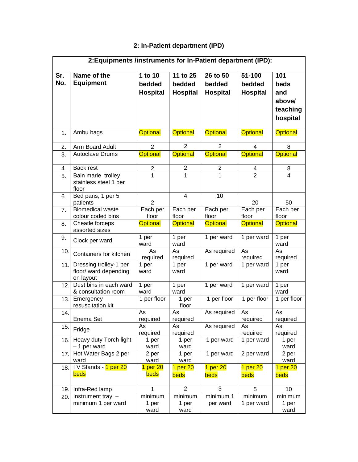# **2: In-Patient department (IPD)**

|                | 2: Equipments /instruments for In-Patient department (IPD):  |                                      |                                       |                                       |                                     |                                                      |
|----------------|--------------------------------------------------------------|--------------------------------------|---------------------------------------|---------------------------------------|-------------------------------------|------------------------------------------------------|
| Sr.<br>No.     | Name of the<br><b>Equipment</b>                              | 1 to 10<br>bedded<br><b>Hospital</b> | 11 to 25<br>bedded<br><b>Hospital</b> | 26 to 50<br>bedded<br><b>Hospital</b> | 51-100<br>bedded<br><b>Hospital</b> | 101<br>beds<br>and<br>above/<br>teaching<br>hospital |
| 1.             | Ambu bags                                                    | <b>Optional</b>                      | <b>Optional</b>                       | <b>Optional</b>                       | <b>Optional</b>                     | <b>Optional</b>                                      |
| 2.             | Arm Board Adult                                              | $\overline{2}$                       | $\overline{2}$                        | $\overline{2}$                        | 4                                   | 8                                                    |
| 3.             | <b>Autoclave Drums</b>                                       | <b>Optional</b>                      | <b>Optional</b>                       | <b>Optional</b>                       | <b>Optional</b>                     | <b>Optional</b>                                      |
| 4.             | Back rest                                                    | $\overline{c}$                       | $\mathbf{2}$                          | $\overline{2}$                        | 4                                   | 8                                                    |
| 5.             | Bain marie trolley<br>stainless steel 1 per<br>floor         | 1                                    | $\mathbf{1}$                          | 1                                     | $\overline{2}$                      | $\overline{\mathbf{4}}$                              |
| 6.             | Bed pans, 1 per 5<br>patients                                | $\overline{2}$                       | 4                                     | 10                                    | 20                                  | 50                                                   |
| 7 <sub>1</sub> | <b>Biomedical waste</b><br>colour coded bins                 | Each per<br>floor                    | Each per<br>floor                     | Each per<br>floor                     | Each per<br>floor                   | Each per<br>floor                                    |
| 8.             | Cheatle forceps<br>assorted sizes                            | <b>Optional</b>                      | <b>Optional</b>                       | <b>Optional</b>                       | <b>Optional</b>                     | <b>Optional</b>                                      |
| 9.             | Clock per ward                                               | 1 per<br>ward                        | 1 per<br>ward                         | 1 per ward                            | 1 per ward                          | 1 per<br>ward                                        |
| 10.            | Containers for kitchen                                       | As<br>required                       | As<br>required                        | As required                           | As<br>required                      | As<br>required                                       |
| 11.            | Dressing trolley-1 per<br>floor/ ward depending<br>on layout | 1 per<br>ward                        | 1 per<br>ward                         | 1 per ward                            | 1 per ward                          | 1 per<br>ward                                        |
| 12.            | Dust bins in each ward<br>& consultation room                | 1 per<br>ward                        | 1 per<br>ward                         | 1 per ward                            | 1 per ward                          | 1 per<br>ward                                        |
| 13.            | Emergency<br>resuscitation kit                               | 1 per floor                          | 1 per<br>floor                        | 1 per floor                           | 1 per floor                         | 1 per floor                                          |
| 14.            | Enema Set                                                    | As<br>required                       | As<br>required                        | As required                           | As<br>required                      | A <sub>s</sub><br>required                           |
| 15.            | Fridge                                                       | As<br>required                       | As<br>required                        | As required                           | As<br>required                      | As<br>required                                       |
| 16.            | Heavy duty Torch light<br>- 1 per ward                       | 1 per<br>ward                        | 1 per<br>ward                         | 1 per ward                            | 1 per ward                          | 1 per<br>ward                                        |
| 17.            | Hot Water Bags 2 per<br>ward                                 | 2 per<br>ward                        | 1 per<br>ward                         | 1 per ward                            | 2 per ward                          | 2 per<br>ward                                        |
| 18.            | IV Stands - 1 per 20<br><u>beds</u>                          | 1 per 20<br>beds                     | 1 <sub>per</sub> 20<br>beds           | 1 per 20<br>beds                      | 1 per 20<br>beds                    | 1 per 20<br>beds                                     |
| 19.            | Infra-Red lamp                                               | 1                                    | $\overline{2}$                        | 3                                     | 5                                   | 10                                                   |
| 20.            | Instrument tray -                                            | minimum                              | minimum                               | minimum 1                             | minimum                             | minimum                                              |
|                | minimum 1 per ward                                           | 1 per<br>ward                        | 1 per<br>ward                         | per ward                              | 1 per ward                          | 1 per<br>ward                                        |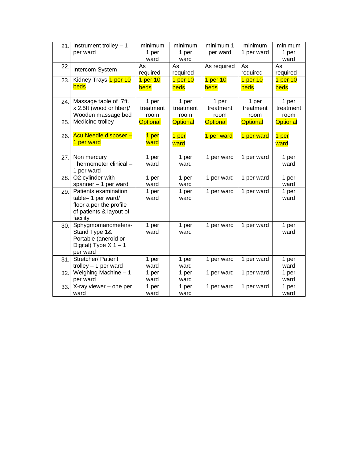| 21. | Instrument trolley - 1   | minimum         | minimum         | minimum 1           | minimum             | minimum         |
|-----|--------------------------|-----------------|-----------------|---------------------|---------------------|-----------------|
|     | per ward                 | 1 per           | 1 per           | per ward            | 1 per ward          | 1 per           |
|     |                          | ward            | ward            |                     |                     | ward            |
| 22. | Intercom System          | As              | As              | As required         | As                  | As              |
|     |                          | required        | required        |                     | required            | required        |
| 23. | Kidney Trays-1 per 10    | 1 per 10        | 1 per $10$      | 1 <sub>per</sub> 10 | 1 <sub>per</sub> 10 | 1 per 10        |
|     | beds                     | beds            | beds            | beds                | beds                | beds            |
| 24. | Massage table of 7ft.    | 1 per           | 1 per           | 1 per               | 1 per               | 1 per           |
|     | x 2.5ft (wood or fiber)/ | treatment       | treatment       | treatment           | treatment           | treatment       |
|     | Wooden massage bed       | room            | room            | room                | room                | room            |
| 25. | Medicine trolley         | <b>Optional</b> | <b>Optional</b> | <b>Optional</b>     | <b>Optional</b>     | <b>Optional</b> |
| 26. | Acu Needle disposer -    | 1 per           | 1 per           | 1 per ward          | 1 per ward          | 1 per           |
|     | 1 per ward               | ward            | ward            |                     |                     | ward            |
|     |                          |                 |                 |                     |                     |                 |
| 27. | Non mercury              | 1 per           | 1 per           | 1 per ward          | 1 per ward          | 1 per           |
|     | Thermometer clinical -   | ward            | ward            |                     |                     | ward            |
|     | 1 per ward               |                 |                 |                     |                     |                 |
| 28. | O2 cylinder with         | 1 per           | 1 per           | 1 per ward          | 1 per ward          | 1 per           |
|     | spanner - 1 per ward     | ward            | ward            |                     |                     | ward            |
| 29. | Patients examination     | 1 per           | 1 per           | 1 per ward          | 1 per ward          | 1 per           |
|     | table-1 per ward/        | ward            | ward            |                     |                     | ward            |
|     | floor a per the profile  |                 |                 |                     |                     |                 |
|     | of patients & layout of  |                 |                 |                     |                     |                 |
|     | facility                 |                 |                 |                     |                     |                 |
| 30. | Sphygmomanometers-       | 1 per           | 1 per           | 1 per ward          | 1 per ward          | 1 per           |
|     | Stand Type 1&            | ward            | ward            |                     |                     | ward            |
|     | Portable (aneroid or     |                 |                 |                     |                     |                 |
|     | Digital) Type $X$ 1 - 1  |                 |                 |                     |                     |                 |
|     | per ward                 |                 |                 |                     |                     |                 |
| 31. | Stretcher/ Patient       | 1 per           | 1 per           | 1 per ward          | 1 per ward          | 1 per           |
|     | trolley $-1$ per ward    | ward            | ward            |                     |                     | ward            |
| 32. | Weighing Machine - 1     | 1 per           | 1 per           | 1 per ward          | 1 per ward          | 1 per           |
|     | per ward                 | ward            | ward            |                     |                     | ward            |
| 33. | X-ray viewer - one per   | 1 per           | 1 per           | 1 per ward          | 1 per ward          | 1 per           |
|     | ward                     | ward            | ward            |                     |                     | ward            |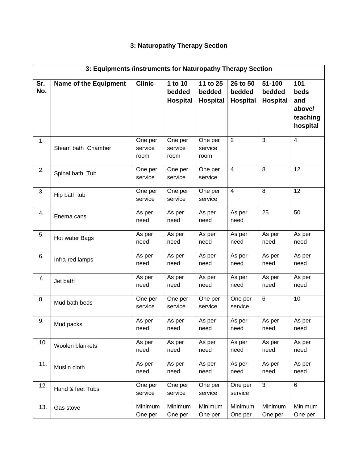# **3: Naturopathy Therapy Section**

|            | 3: Equipments /instruments for Naturopathy Therapy Section |                            |                                      |                                       |                                       |                              |                                                      |
|------------|------------------------------------------------------------|----------------------------|--------------------------------------|---------------------------------------|---------------------------------------|------------------------------|------------------------------------------------------|
| Sr.<br>No. | <b>Name of the Equipment</b>                               | <b>Clinic</b>              | 1 to 10<br>bedded<br><b>Hospital</b> | 11 to 25<br>bedded<br><b>Hospital</b> | 26 to 50<br>bedded<br><b>Hospital</b> | 51-100<br>bedded<br>Hospital | 101<br>beds<br>and<br>above/<br>teaching<br>hospital |
| 1.         | Steam bath Chamber                                         | One per<br>service<br>room | One per<br>service<br>room           | One per<br>service<br>room            | $\overline{2}$                        | 3                            | 4                                                    |
| 2.         | Spinal bath Tub                                            | One per<br>service         | One per<br>service                   | One per<br>service                    | $\overline{4}$                        | 8                            | 12                                                   |
| 3.         | Hip bath tub                                               | One per<br>service         | One per<br>service                   | One per<br>service                    | $\overline{4}$                        | 8                            | 12                                                   |
| 4.         | Enema cans                                                 | As per<br>need             | As per<br>need                       | As per<br>need                        | As per<br>need                        | 25                           | 50                                                   |
| 5.         | Hot water Bags                                             | As per<br>need             | As per<br>need                       | As per<br>need                        | As per<br>need                        | As per<br>need               | As per<br>need                                       |
| 6.         | Infra-red lamps                                            | As per<br>need             | As per<br>need                       | As per<br>need                        | As per<br>need                        | As per<br>need               | As per<br>need                                       |
| 7.         | Jet bath                                                   | As per<br>need             | As per<br>need                       | As per<br>need                        | As per<br>need                        | As per<br>need               | As per<br>need                                       |
| 8.         | Mud bath beds                                              | One per<br>service         | One per<br>service                   | One per<br>service                    | One per<br>service                    | 6                            | 10                                                   |
| 9.         | Mud packs                                                  | As per<br>need             | As per<br>need                       | As per<br>need                        | As per<br>need                        | As per<br>need               | As per<br>need                                       |
| 10.        | Woolen blankets                                            | As per<br>need             | As per<br>need                       | As per<br>need                        | As per<br>need                        | As per<br>need               | As per<br>need                                       |
| 11.        | Muslin cloth                                               | As per<br>need             | As per<br>need                       | As per<br>need                        | As per<br>need                        | As per<br>need               | As per<br>need                                       |
| 12.        | Hand & feet Tubs                                           | One per<br>service         | One per<br>service                   | One per<br>service                    | One per<br>service                    | 3                            | 6                                                    |
| 13.        | Gas stove                                                  | Minimum<br>One per         | Minimum<br>One per                   | Minimum<br>One per                    | Minimum<br>One per                    | Minimum<br>One per           | Minimum<br>One per                                   |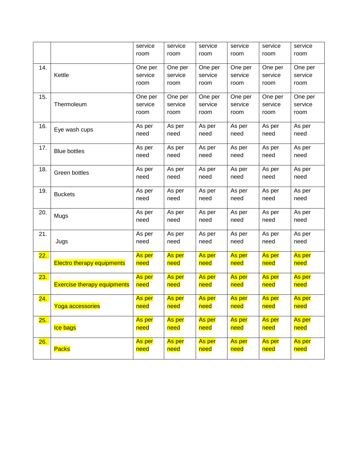|                  |                                    | service | service       | service | service | service | service |
|------------------|------------------------------------|---------|---------------|---------|---------|---------|---------|
|                  |                                    | room    | room          | room    | room    | room    | room    |
|                  |                                    |         |               |         |         |         |         |
| 14.              |                                    | One per | One per       | One per | One per | One per | One per |
|                  | Kettle                             | service | service       | service | service | service | service |
|                  |                                    | room    | room          | room    | room    | room    | room    |
|                  |                                    |         |               |         |         |         |         |
| 15.              |                                    | One per | One per       | One per | One per | One per | One per |
|                  | Thermoleum                         | service | service       | service | service | service | service |
|                  |                                    | room    | room          | room    | room    | room    | room    |
| 16.              |                                    | As per  | As per        | As per  | As per  | As per  | As per  |
|                  | Eye wash cups                      | need    | need          | need    | need    | need    | need    |
|                  |                                    |         |               |         |         |         |         |
| 17.              | <b>Blue bottles</b>                | As per  | As per        | As per  | As per  | As per  | As per  |
|                  |                                    | need    | need          | need    | need    | need    | need    |
|                  |                                    |         |               |         |         |         |         |
| 18.              | Green bottles                      | As per  | As per        | As per  | As per  | As per  | As per  |
|                  |                                    | need    | need          | need    | need    | need    | need    |
| 19.              |                                    | As per  | As per        | As per  | As per  | As per  | As per  |
|                  | <b>Buckets</b>                     | need    | need          | need    | need    | need    | need    |
|                  |                                    |         |               |         |         |         |         |
| 20.              | Mugs                               | As per  | As per        | As per  | As per  | As per  | As per  |
|                  |                                    | need    | need          | need    | need    | need    | need    |
|                  |                                    |         |               |         |         |         |         |
| 21.              |                                    | As per  | As per        | As per  | As per  | As per  | As per  |
|                  | Jugs                               | need    | need          | need    | need    | need    | need    |
| <mark>22.</mark> |                                    | As per  | As per        | As per  | As per  | As per  | As per  |
|                  | <b>Electro therapy equipments</b>  | need    | need          | need    | need    | need    | need    |
|                  |                                    |         |               |         |         |         |         |
| <mark>23.</mark> |                                    | As per  | <b>As per</b> | As per  | As per  | As per  | As per  |
|                  | <b>Exercise therapy equipments</b> | need    | need          | need    | need    | need    | need    |
|                  |                                    |         |               |         |         |         |         |
| <mark>24.</mark> |                                    | As per  | As per        | As per  | As per  | As per  | As per  |
|                  | Yoga accessories                   | need    | need          | need    | need    | need    | need    |
| <mark>25.</mark> |                                    | As per  | As per        | As per  | As per  | As per  | As per  |
|                  | Ice bags                           | need    | need          | need    | need    | need    | need    |
|                  |                                    |         |               |         |         |         |         |
| <mark>26.</mark> |                                    | As per  | As per        | As per  | As per  | As per  | As per  |
|                  | Packs                              | need    | need          | need    | need    | need    | need    |
|                  |                                    |         |               |         |         |         |         |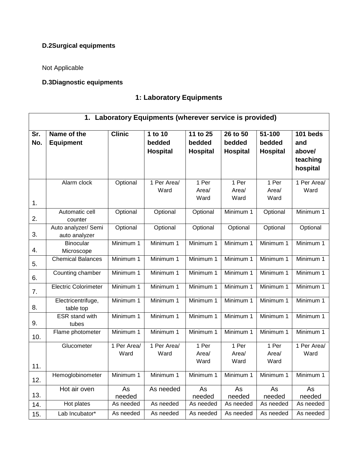# **D.2Surgical equipments**

Not Applicable

# **D.3Diagnostic equipments**

# **1: Laboratory Equipments**

|            |                                   |               | 1. Laboratory Equipments (wherever service is provided) |                    |                    |                  |                 |
|------------|-----------------------------------|---------------|---------------------------------------------------------|--------------------|--------------------|------------------|-----------------|
| Sr.<br>No. | Name of the<br><b>Equipment</b>   | <b>Clinic</b> | 1 to 10<br>bedded                                       | 11 to 25<br>bedded | 26 to 50<br>bedded | 51-100<br>bedded | 101 beds<br>and |
|            |                                   |               | <b>Hospital</b>                                         | <b>Hospital</b>    | <b>Hospital</b>    | <b>Hospital</b>  | above/          |
|            |                                   |               |                                                         |                    |                    |                  | teaching        |
|            |                                   |               |                                                         |                    |                    |                  | hospital        |
|            | Alarm clock                       | Optional      | 1 Per Area/                                             | 1 Per              | 1 Per              | 1 Per            | 1 Per Area/     |
|            |                                   |               | Ward                                                    | Area/              | Area/              | Area/            | Ward            |
| 1.         |                                   |               |                                                         | Ward               | Ward               | Ward             |                 |
|            | Automatic cell                    | Optional      | Optional                                                | Optional           | Minimum 1          | Optional         | Minimum 1       |
| 2.         | counter                           |               |                                                         |                    |                    |                  |                 |
|            | Auto analyzer/ Semi               | Optional      | Optional                                                | Optional           | Optional           | Optional         | Optional        |
| 3.         | auto analyzer<br><b>Binocular</b> | Minimum 1     | Minimum 1                                               | Minimum 1          | Minimum 1          | Minimum 1        | Minimum 1       |
| 4.         | Microscope                        |               |                                                         |                    |                    |                  |                 |
| 5.         | <b>Chemical Balances</b>          | Minimum 1     | Minimum 1                                               | Minimum 1          | Minimum 1          | Minimum 1        | Minimum 1       |
| 6.         | Counting chamber                  | Minimum 1     | Minimum 1                                               | Minimum 1          | Minimum 1          | Minimum 1        | Minimum 1       |
| 7.         | <b>Electric Colorimeter</b>       | Minimum 1     | Minimum 1                                               | Minimum 1          | Minimum 1          | Minimum 1        | Minimum 1       |
| 8.         | Electricentrifuge,<br>table top   | Minimum 1     | Minimum 1                                               | Minimum 1          | Minimum 1          | Minimum 1        | Minimum 1       |
|            | <b>ESR</b> stand with             | Minimum 1     | Minimum 1                                               | Minimum 1          | Minimum 1          | Minimum 1        | Minimum 1       |
| 9.         | tubes                             |               |                                                         |                    |                    |                  |                 |
| 10.        | Flame photometer                  | Minimum 1     | Minimum 1                                               | Minimum 1          | Minimum 1          | Minimum 1        | Minimum 1       |
|            | Glucometer                        | 1 Per Area/   | 1 Per Area/                                             | 1 Per              | 1 Per              | 1 Per            | 1 Per Area/     |
|            |                                   | Ward          | Ward                                                    | Area/              | Area/              | Area/            | Ward            |
| 11.        |                                   |               |                                                         | Ward               | Ward               | Ward             |                 |
| 12.        | Hemoglobinometer                  | Minimum 1     | Minimum 1                                               | Minimum 1          | Minimum 1          | Minimum 1        | Minimum 1       |
|            | Hot air oven                      | As            | As needed                                               | As                 | As                 | As               | As              |
| 13.        |                                   | needed        | As needed                                               | needed             | needed             | needed           | needed          |
| 14.        | Hot plates                        | As needed     |                                                         | As needed          | As needed          | As needed        | As needed       |
| 15.        | Lab Incubator*                    | As needed     | As needed                                               | As needed          | As needed          | As needed        | As needed       |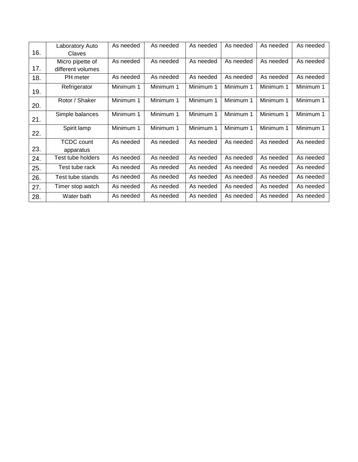|     | Laboratory Auto   | As needed | As needed | As needed | As needed | As needed | As needed |
|-----|-------------------|-----------|-----------|-----------|-----------|-----------|-----------|
| 16. | Claves            |           |           |           |           |           |           |
|     | Micro pipette of  | As needed | As needed | As needed | As needed | As needed | As needed |
| 17. | different volumes |           |           |           |           |           |           |
| 18. | PH meter          | As needed | As needed | As needed | As needed | As needed | As needed |
| 19. | Refrigerator      | Minimum 1 | Minimum 1 | Minimum 1 | Minimum 1 | Minimum 1 | Minimum 1 |
| 20. | Rotor / Shaker    | Minimum 1 | Minimum 1 | Minimum 1 | Minimum 1 | Minimum 1 | Minimum 1 |
| 21. | Simple balances   | Minimum 1 | Minimum 1 | Minimum 1 | Minimum 1 | Minimum 1 | Minimum 1 |
| 22. | Spirit lamp       | Minimum 1 | Minimum 1 | Minimum 1 | Minimum 1 | Minimum 1 | Minimum 1 |
|     | <b>TCDC</b> count | As needed | As needed | As needed | As needed | As needed | As needed |
| 23. | apparatus         |           |           |           |           |           |           |
| 24. | Test tube holders | As needed | As needed | As needed | As needed | As needed | As needed |
| 25. | Test tube rack    | As needed | As needed | As needed | As needed | As needed | As needed |
| 26. | Test tube stands  | As needed | As needed | As needed | As needed | As needed | As needed |
| 27. | Timer stop watch  | As needed | As needed | As needed | As needed | As needed | As needed |
| 28. | Water bath        | As needed | As needed | As needed | As needed | As needed | As needed |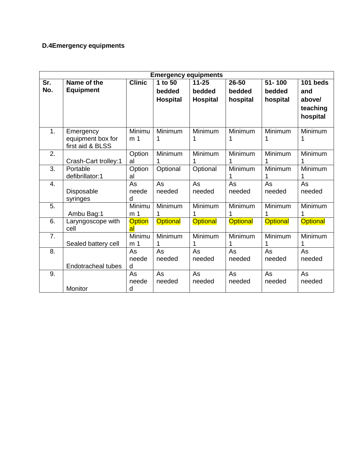# **D.4Emergency equipments**

|     | <b>Emergency equipments</b> |                     |                 |                 |                 |                 |                 |  |  |
|-----|-----------------------------|---------------------|-----------------|-----------------|-----------------|-----------------|-----------------|--|--|
| Sr. | Name of the                 | <b>Clinic</b>       | 1 to 50         | $11 - 25$       | $26 - 50$       | $51 - 100$      | 101 beds        |  |  |
| No. | <b>Equipment</b>            |                     | bedded          | bedded          | bedded          | bedded          | and             |  |  |
|     |                             |                     | <b>Hospital</b> | <b>Hospital</b> | hospital        | hospital        | above/          |  |  |
|     |                             |                     |                 |                 |                 |                 | teaching        |  |  |
|     |                             |                     |                 |                 |                 |                 | hospital        |  |  |
|     |                             |                     |                 |                 |                 |                 |                 |  |  |
| 1.  | Emergency                   | Minimu              | Minimum         | Minimum         | Minimum         | Minimum         | Minimum         |  |  |
|     | equipment box for           | m <sub>1</sub>      | 1               | 1               | 1               | 1               | 1               |  |  |
|     | first aid & BLSS            |                     |                 |                 |                 |                 |                 |  |  |
| 2.  |                             | Option              | Minimum         | Minimum         | Minimum         | Minimum         | Minimum         |  |  |
|     | Crash-Cart trolley:1        | al                  | 1               | 1               |                 | 1               |                 |  |  |
| 3.  | Portable                    | Option              | Optional        | Optional        | Minimum         | Minimum         | Minimum         |  |  |
|     | defibrillator:1             | al                  |                 |                 |                 | 1               |                 |  |  |
| 4.  |                             | As                  | As              | As              | As              | As              | As              |  |  |
|     | Disposable                  | neede               | needed          | needed          | needed          | needed          | needed          |  |  |
|     | syringes                    | d                   |                 |                 |                 |                 |                 |  |  |
| 5.  |                             | Minimu              | Minimum         | Minimum         | Minimum         | Minimum         | Minimum         |  |  |
|     | Ambu Bag:1                  | m <sub>1</sub>      | 1               | 1               |                 | 1               |                 |  |  |
| 6.  | Laryngoscope with<br>cell   | <b>Option</b><br>al | <b>Optional</b> | <b>Optional</b> | <b>Optional</b> | <b>Optional</b> | <b>Optional</b> |  |  |
| 7.  |                             | Minimu              | Minimum         | Minimum         | Minimum         | Minimum         | Minimum         |  |  |
|     | Sealed battery cell         | m <sub>1</sub>      | 1               | 1               | 1               | 1               |                 |  |  |
| 8.  |                             | As                  | As              | As              | As              | As              | As              |  |  |
|     |                             | neede               | needed          | needed          | needed          | needed          | needed          |  |  |
|     | <b>Endotracheal tubes</b>   | d                   |                 |                 |                 |                 |                 |  |  |
| 9.  |                             | As                  | As              | As              | As              | As              | As              |  |  |
|     |                             | neede               | needed          | needed          | needed          | needed          | needed          |  |  |
|     | Monitor                     | d                   |                 |                 |                 |                 |                 |  |  |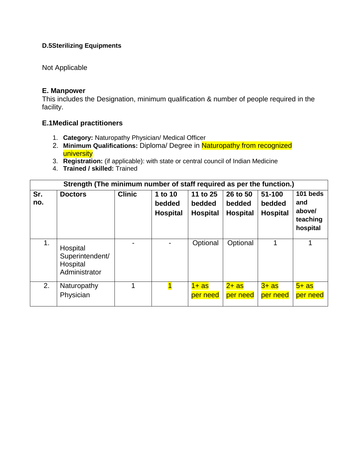#### **D.5Sterilizing Equipments**

# Not Applicable

#### **E. Manpower**

This includes the Designation, minimum qualification & number of people required in the facility.

# **E.1Medical practitioners**

- 1. **Category:** Naturopathy Physician/ Medical Officer
- 2. **Minimum Qualifications:** Diploma/ Degree in Naturopathy from recognized **university**
- 3. **Registration:** (if applicable): with state or central council of Indian Medicine
- 4. **Trained / skilled:** Trained

|            | Strength (The minimum number of staff required as per the function.) |               |                                      |                                       |                                       |                                     |                                                   |  |  |  |
|------------|----------------------------------------------------------------------|---------------|--------------------------------------|---------------------------------------|---------------------------------------|-------------------------------------|---------------------------------------------------|--|--|--|
| Sr.<br>no. | <b>Doctors</b>                                                       | <b>Clinic</b> | 1 to 10<br>bedded<br><b>Hospital</b> | 11 to 25<br>bedded<br><b>Hospital</b> | 26 to 50<br>bedded<br><b>Hospital</b> | 51-100<br>bedded<br><b>Hospital</b> | 101 beds<br>and<br>above/<br>teaching<br>hospital |  |  |  |
| 1.         | Hospital<br>Superintendent/<br>Hospital<br>Administrator             |               |                                      | Optional                              | Optional                              |                                     |                                                   |  |  |  |
| 2.         | Naturopathy<br>Physician                                             |               |                                      | $1+as$<br>per need                    | 2+ as<br>per need                     | $3+$ as<br>per need                 | $5+$ as<br>per need                               |  |  |  |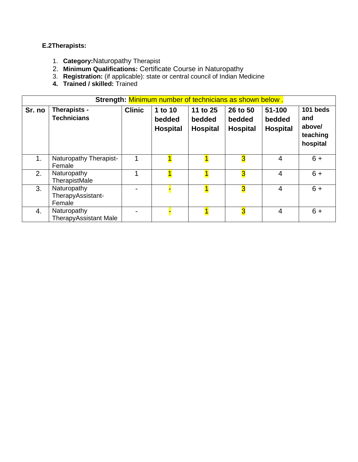#### **E.2Therapists:**

- 1. **Category:**Naturopathy Therapist
- 2. **Minimum Qualifications:** Certificate Course in Naturopathy
- 3. **Registration:** (if applicable): state or central council of Indian Medicine
- **4. Trained / skilled:** Trained

|        | Strength: Minimum number of technicians as shown below. |               |                                      |                                       |                                       |                                     |                                                   |  |  |  |  |
|--------|---------------------------------------------------------|---------------|--------------------------------------|---------------------------------------|---------------------------------------|-------------------------------------|---------------------------------------------------|--|--|--|--|
| Sr. no | Therapists -<br><b>Technicians</b>                      | <b>Clinic</b> | 1 to 10<br>bedded<br><b>Hospital</b> | 11 to 25<br>bedded<br><b>Hospital</b> | 26 to 50<br>bedded<br><b>Hospital</b> | 51-100<br>bedded<br><b>Hospital</b> | 101 beds<br>and<br>above/<br>teaching<br>hospital |  |  |  |  |
| 1.     | Naturopathy Therapist-<br>Female                        |               |                                      |                                       | $\overline{\mathbf{3}}$               | $\overline{4}$                      | $6+$                                              |  |  |  |  |
| 2.     | Naturopathy<br>TherapistMale                            |               |                                      |                                       | $\overline{3}$                        | 4                                   | $6+$                                              |  |  |  |  |
| 3.     | Naturopathy<br>TherapyAssistant-<br>Female              |               |                                      | $\mathbf{1}$                          | $\overline{\mathbf{3}}$               | $\overline{4}$                      | $6 +$                                             |  |  |  |  |
| 4.     | Naturopathy<br><b>TherapyAssistant Male</b>             |               |                                      |                                       | $\overline{\mathbf{3}}$               | 4                                   | $6+$                                              |  |  |  |  |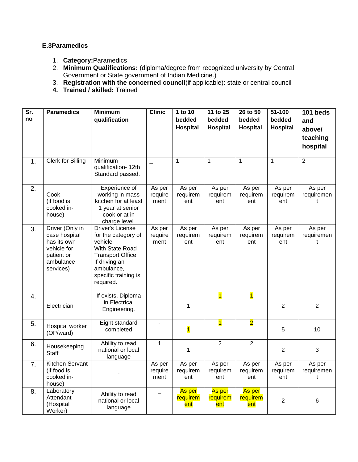#### **E.3Paramedics**

- 1. **Category:**Paramedics
- 2. **Minimum Qualifications:** (diploma/degree from recognized university by Central Government or State government of Indian Medicine.)
- 3. **Registration with the concerned council**(if applicable): state or central council
- **4. Trained / skilled:** Trained

| Sr.<br>no | <b>Paramedics</b>                                                                                      | <b>Minimum</b><br>qualification                                                                                                                                | <b>Clinic</b>             | 1 to 10<br>bedded<br>Hospital | 11 to 25<br>bedded<br><b>Hospital</b> | 26 to 50<br>bedded<br><b>Hospital</b> | 51-100<br>bedded<br><b>Hospital</b> | 101 beds<br>and<br>above/<br>teaching |
|-----------|--------------------------------------------------------------------------------------------------------|----------------------------------------------------------------------------------------------------------------------------------------------------------------|---------------------------|-------------------------------|---------------------------------------|---------------------------------------|-------------------------------------|---------------------------------------|
|           |                                                                                                        |                                                                                                                                                                |                           |                               |                                       |                                       |                                     | hospital                              |
| 1.        | Clerk for Billing                                                                                      | Minimum<br>qualification-12th<br>Standard passed.                                                                                                              |                           | 1                             | $\mathbf 1$                           | 1                                     | $\mathbf 1$                         | $\overline{2}$                        |
| 2.        | Cook<br>(if food is<br>cooked in-<br>house)                                                            | Experience of<br>working in mass<br>kitchen for at least<br>1 year at senior<br>cook or at in<br>charge level.                                                 | As per<br>require<br>ment | As per<br>requirem<br>ent     | As per<br>requirem<br>ent             | As per<br>requirem<br>ent             | As per<br>requirem<br>ent           | As per<br>requiremen<br>t             |
| 3.        | Driver (Only in<br>case hospital<br>has its own<br>vehicle for<br>patient or<br>ambulance<br>services) | Driver's License<br>for the category of<br>vehicle<br>With State Road<br>Transport Office.<br>If driving an<br>ambulance,<br>specific training is<br>required. | As per<br>require<br>ment | As per<br>requirem<br>ent     | As per<br>requirem<br>ent             | As per<br>requirem<br>ent             | As per<br>requirem<br>ent           | As per<br>requiremen<br>t             |
| 4.        | Electrician                                                                                            | If exists, Diploma<br>in Electrical<br>Engineering.                                                                                                            |                           | 1                             | $\overline{\mathbf{1}}$               | $\overline{\mathbf{1}}$               | $\overline{2}$                      | $\overline{2}$                        |
| 5.        | Hospital worker<br>(OP/ward)                                                                           | Eight standard<br>completed                                                                                                                                    | $\blacksquare$            | $\overline{\mathbf{1}}$       | $\overline{\mathbf{1}}$               | $\overline{\mathbf{2}}$               | 5                                   | 10                                    |
| 6.        | Housekeeping<br><b>Staff</b>                                                                           | Ability to read<br>national or local<br>language                                                                                                               | 1                         | 1                             | $\overline{2}$                        | $\overline{2}$                        | $\overline{2}$                      | 3                                     |
| 7.        | Kitchen Servant<br>(if food is<br>cooked in-<br>house)                                                 |                                                                                                                                                                | As per<br>require<br>ment | As per<br>requirem<br>ent     | As per<br>requirem<br>ent             | As per<br>requirem<br>ent             | As per<br>requirem<br>ent           | As per<br>requiremen<br>t             |
| 8.        | Laboratory<br>Attendant<br>(Hospital<br>Worker)                                                        | Ability to read<br>national or local<br>language                                                                                                               |                           | As per<br>requirem<br>ent     | As per<br>requirem<br>ent             | As per<br>requirem<br>ent             | $\overline{2}$                      | $\,6$                                 |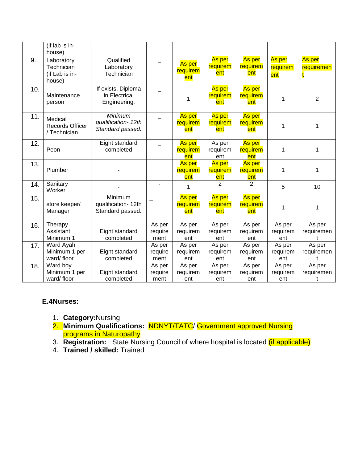|     | (if lab is in-<br>house)                             |                                                     |                           |                                  |                           |                           |                           |                           |
|-----|------------------------------------------------------|-----------------------------------------------------|---------------------------|----------------------------------|---------------------------|---------------------------|---------------------------|---------------------------|
| 9.  | Laboratory<br>Technician<br>(if Lab is in-<br>house) | Qualified<br>Laboratory<br>Technician               |                           | As per<br>requirem<br>ent        | As per<br>requirem<br>ent | As per<br>requirem<br>ent | As per<br>requirem<br>ent | As per<br>requiremen      |
| 10. | Maintenance<br>person                                | If exists, Diploma<br>in Electrical<br>Engineering. |                           | 1                                | As per<br>requirem<br>ent | As per<br>requirem<br>ent | 1                         | $\overline{2}$            |
| 11. | Medical<br>Records Officer<br>/ Technician           | Minimum<br>qualification-12th<br>Standard passed.   |                           | <b>As per</b><br>requirem<br>ent | As per<br>requirem<br>ent | As per<br>requirem<br>ent | 1                         | 1                         |
| 12. | Peon                                                 | Eight standard<br>completed                         |                           | As per<br>requirem<br>ent        | As per<br>requirem<br>ent | As per<br>requirem<br>ent | 1                         | 1                         |
| 13. | Plumber                                              |                                                     |                           | As per<br>requirem<br>ent        | As per<br>requirem<br>ent | As per<br>requirem<br>ent | 1                         | 1                         |
| 14. | Sanitary<br>Worker                                   |                                                     |                           | 1                                | $\overline{2}$            | $\overline{2}$            | 5                         | 10                        |
| 15. | store keeper/<br>Manager                             | Minimum<br>qualification-12th<br>Standard passed.   |                           | <b>As per</b><br>requirem<br>ent | As per<br>requirem<br>ent | As per<br>requirem<br>ent | 1                         | 1                         |
| 16. | Therapy<br>Assistant<br>Minimum 1                    | Eight standard<br>completed                         | As per<br>require<br>ment | As per<br>requirem<br>ent        | As per<br>requirem<br>ent | As per<br>requirem<br>ent | As per<br>requirem<br>ent | As per<br>requiremen<br>t |
| 17. | Ward Ayah<br>Minimum 1 per<br>ward/floor             | Eight standard<br>completed                         | As per<br>require<br>ment | As per<br>requirem<br>ent        | As per<br>requirem<br>ent | As per<br>requirem<br>ent | As per<br>requirem<br>ent | As per<br>requiremen      |
| 18. | Ward boy<br>Minimum 1 per<br>ward/floor              | Eight standard<br>completed                         | As per<br>require<br>ment | As per<br>requirem<br>ent        | As per<br>requirem<br>ent | As per<br>requirem<br>ent | As per<br>requirem<br>ent | As per<br>requiremen<br>t |

# **E.4Nurses:**

- 1. **Category:**Nursing
- 2. **Minimum Qualifications:** NDNYT/TATC/ Government approved Nursing programs in Naturopathy
- 3. **Registration:** State Nursing Council of where hospital is located (if applicable)
- 4. **Trained / skilled:** Trained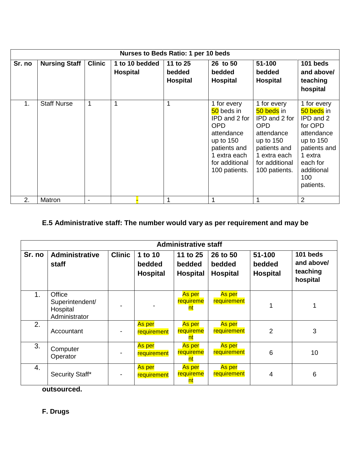|        | Nurses to Beds Ratio: 1 per 10 beds |               |                                   |  |                                |                                                                                                                                                          |                                                                                                                                                          |                                                                                                                                                         |  |  |  |
|--------|-------------------------------------|---------------|-----------------------------------|--|--------------------------------|----------------------------------------------------------------------------------------------------------------------------------------------------------|----------------------------------------------------------------------------------------------------------------------------------------------------------|---------------------------------------------------------------------------------------------------------------------------------------------------------|--|--|--|
| Sr. no | <b>Nursing Staff</b>                | <b>Clinic</b> | 1 to 10 bedded<br><b>Hospital</b> |  | 11 to 25<br>bedded<br>Hospital | 26 to 50<br>bedded<br><b>Hospital</b>                                                                                                                    | 51-100<br>bedded<br><b>Hospital</b>                                                                                                                      | 101 beds<br>and above/<br>teaching<br>hospital                                                                                                          |  |  |  |
| 1.     | <b>Staff Nurse</b>                  | 1             | 1                                 |  | 1                              | 1 for every<br>50 beds in<br>IPD and 2 for<br><b>OPD</b><br>attendance<br>up to $150$<br>patients and<br>1 extra each<br>for additional<br>100 patients. | 1 for every<br>50 beds in<br>IPD and 2 for<br><b>OPD</b><br>attendance<br>up to $150$<br>patients and<br>1 extra each<br>for additional<br>100 patients. | 1 for every<br>50 beds in<br>IPD and 2<br>for OPD<br>attendance<br>up to $150$<br>patients and<br>1 extra<br>each for<br>additional<br>100<br>patients. |  |  |  |
| 2.     | Matron                              |               |                                   |  |                                |                                                                                                                                                          |                                                                                                                                                          | 2                                                                                                                                                       |  |  |  |

# **E.5 Administrative staff: The number would vary as per requirement and may be**

|                | <b>Administrative staff</b>                            |               |                                      |                                       |                                       |                                         |                                                |  |  |  |  |
|----------------|--------------------------------------------------------|---------------|--------------------------------------|---------------------------------------|---------------------------------------|-----------------------------------------|------------------------------------------------|--|--|--|--|
| Sr. no         | <b>Administrative</b><br><b>staff</b>                  | <b>Clinic</b> | 1 to 10<br>bedded<br><b>Hospital</b> | 11 to 25<br>bedded<br><b>Hospital</b> | 26 to 50<br>bedded<br><b>Hospital</b> | $51 - 100$<br>bedded<br><b>Hospital</b> | 101 beds<br>and above/<br>teaching<br>hospital |  |  |  |  |
| 1 <sub>1</sub> | Office<br>Superintendent/<br>Hospital<br>Administrator |               |                                      | As per<br>requireme<br>nt             | <u>As per</u><br>requirement          |                                         |                                                |  |  |  |  |
| 2.             | Accountant                                             |               | As per<br>requirement                | As per<br>requireme<br><u>nt</u>      | As per<br>requirement                 | 2                                       | 3                                              |  |  |  |  |
| 3.             | Computer<br>Operator                                   |               | As per<br>requirement                | As per<br>requireme<br>nt             | As per<br>requirement                 | 6                                       | 10                                             |  |  |  |  |
| 4.             | Security Staff*                                        |               | As per<br>requirement                | As per<br>requireme<br>nt             | As per<br>requirement                 | 4                                       | 6                                              |  |  |  |  |

**outsourced.**

**F. Drugs**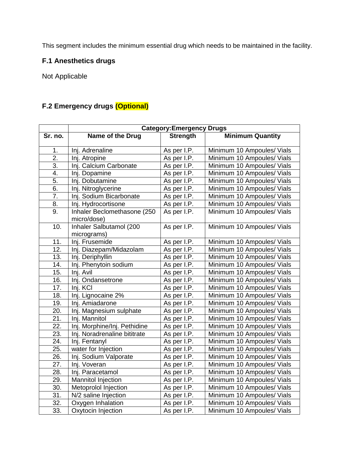This segment includes the minimum essential drug which needs to be maintained in the facility.

# **F.1 Anesthetics drugs**

Not Applicable

# **F.2 Emergency drugs (Optional)**

|                   | <b>Category:Emergency Drugs</b>            |                 |                            |  |  |  |  |  |  |
|-------------------|--------------------------------------------|-----------------|----------------------------|--|--|--|--|--|--|
| Sr. no.           | Name of the Drug                           | <b>Strength</b> | <b>Minimum Quantity</b>    |  |  |  |  |  |  |
| 1.                | Inj. Adrenaline                            | As per I.P.     | Minimum 10 Ampoules/ Vials |  |  |  |  |  |  |
| $\overline{2}$ .  |                                            | As per I.P.     | Minimum 10 Ampoules/ Vials |  |  |  |  |  |  |
| $\overline{3}$ .  | Inj. Atropine<br>Inj. Calcium Carbonate    | As per I.P.     | Minimum 10 Ampoules/ Vials |  |  |  |  |  |  |
| 4.                | Inj. Dopamine                              |                 | Minimum 10 Ampoules/ Vials |  |  |  |  |  |  |
|                   | Inj. Dobutamine                            | As per I.P.     |                            |  |  |  |  |  |  |
| 5.                |                                            | As per I.P.     | Minimum 10 Ampoules/ Vials |  |  |  |  |  |  |
| 6.                | Inj. Nitroglycerine                        | As per I.P.     | Minimum 10 Ampoules/ Vials |  |  |  |  |  |  |
| 7.                | Inj. Sodium Bicarbonate                    | As per I.P.     | Minimum 10 Ampoules/ Vials |  |  |  |  |  |  |
| 8.                | Inj. Hydrocortisone                        | As per I.P.     | Minimum 10 Ampoules/ Vials |  |  |  |  |  |  |
| 9.                | Inhaler Beclomethasone (250<br>micro/dose) | As per I.P.     | Minimum 10 Ampoules/ Vials |  |  |  |  |  |  |
| 10.               | Inhaler Salbutamol (200<br>micrograms)     | As per I.P.     | Minimum 10 Ampoules/ Vials |  |  |  |  |  |  |
| 11.               | Inj. Frusemide                             | As per I.P.     | Minimum 10 Ampoules/ Vials |  |  |  |  |  |  |
| 12.               | Inj. Diazepam/Midazolam                    | As per I.P.     | Minimum 10 Ampoules/ Vials |  |  |  |  |  |  |
| 13.               | Inj. Deriphyllin                           | As per I.P.     | Minimum 10 Ampoules/ Vials |  |  |  |  |  |  |
| 14.               | Inj. Phenytoin sodium                      | As per I.P.     | Minimum 10 Ampoules/ Vials |  |  |  |  |  |  |
| 15.               | Inj. Avil                                  | As per I.P.     | Minimum 10 Ampoules/ Vials |  |  |  |  |  |  |
| 16.               | Inj. Ondansetrone                          | As per I.P.     | Minimum 10 Ampoules/ Vials |  |  |  |  |  |  |
| 17.               | Inj. KCI                                   | As per I.P.     | Minimum 10 Ampoules/ Vials |  |  |  |  |  |  |
| 18.               | Inj. Lignocaine 2%                         | As per I.P.     | Minimum 10 Ampoules/ Vials |  |  |  |  |  |  |
| 19.               | Inj. Amiadarone                            | As per I.P.     | Minimum 10 Ampoules/ Vials |  |  |  |  |  |  |
| 20.               | Inj. Magnesium sulphate                    | As per I.P.     | Minimum 10 Ampoules/ Vials |  |  |  |  |  |  |
| 21.               | Inj. Mannitol                              | As per I.P.     | Minimum 10 Ampoules/ Vials |  |  |  |  |  |  |
| 22.               | Inj. Morphine/Inj. Pethidine               | As per I.P.     | Minimum 10 Ampoules/ Vials |  |  |  |  |  |  |
| 23.               | Inj. Noradrenaline bititrate               | As per I.P.     | Minimum 10 Ampoules/ Vials |  |  |  |  |  |  |
| 24.               | Inj. Fentanyl                              | As per I.P.     | Minimum 10 Ampoules/ Vials |  |  |  |  |  |  |
| 25.               | water for Injection                        | As per I.P.     | Minimum 10 Ampoules/ Vials |  |  |  |  |  |  |
| 26.               | Inj. Sodium Valporate                      | As per I.P.     | Minimum 10 Ampoules/ Vials |  |  |  |  |  |  |
| 27.               | Inj. Voveran                               | As per I.P.     | Minimum 10 Ampoules/ Vials |  |  |  |  |  |  |
| 28.               | Inj. Paracetamol                           | As per I.P.     | Minimum 10 Ampoules/ Vials |  |  |  |  |  |  |
| 29.               | Mannitol Injection                         | As per I.P.     | Minimum 10 Ampoules/ Vials |  |  |  |  |  |  |
| 30.               | Metoprolol Injection                       | As per I.P.     | Minimum 10 Ampoules/ Vials |  |  |  |  |  |  |
| 31.               | N/2 saline Injection                       | As per I.P.     | Minimum 10 Ampoules/ Vials |  |  |  |  |  |  |
| 32.               | Oxygen Inhalation                          | As per I.P.     | Minimum 10 Ampoules/ Vials |  |  |  |  |  |  |
| $\overline{33}$ . | Oxytocin Injection                         | As per I.P.     | Minimum 10 Ampoules/ Vials |  |  |  |  |  |  |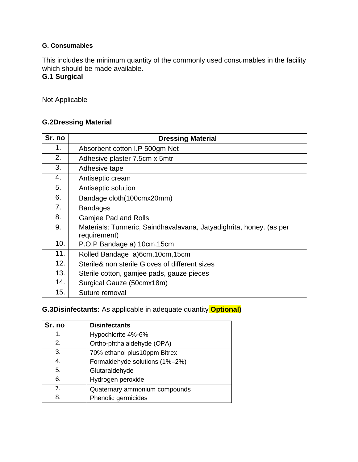#### **G. Consumables**

This includes the minimum quantity of the commonly used consumables in the facility which should be made available.

# **G.1 Surgical**

Not Applicable

### **G.2Dressing Material**

| Sr. no | <b>Dressing Material</b>                                                            |
|--------|-------------------------------------------------------------------------------------|
| 1.     | Absorbent cotton I.P 500gm Net                                                      |
| 2.     | Adhesive plaster 7.5cm x 5mtr                                                       |
| 3.     | Adhesive tape                                                                       |
| 4.     | Antiseptic cream                                                                    |
| 5.     | Antiseptic solution                                                                 |
| 6.     | Bandage cloth(100cmx20mm)                                                           |
| 7.     | <b>Bandages</b>                                                                     |
| 8.     | <b>Gamjee Pad and Rolls</b>                                                         |
| 9.     | Materials: Turmeric, Saindhavalavana, Jatyadighrita, honey. (as per<br>requirement) |
| 10.    | P.O.P Bandage a) 10cm, 15cm                                                         |
| 11.    | Rolled Bandage a)6cm, 10cm, 15cm                                                    |
| 12.    | Sterile& non sterile Gloves of different sizes                                      |
| 13.    | Sterile cotton, gamjee pads, gauze pieces                                           |
| 14.    | Surgical Gauze (50cmx18m)                                                           |
| 15.    | Suture removal                                                                      |

# **G.3Disinfectants:** As applicable in adequate quantity **Optional)**

| Sr. no | <b>Disinfectants</b>           |
|--------|--------------------------------|
| 1.     | Hypochlorite 4%-6%             |
| 2.     | Ortho-phthalaldehyde (OPA)     |
| 3.     | 70% ethanol plus10ppm Bitrex   |
| 4.     | Formaldehyde solutions (1%-2%) |
| 5.     | Glutaraldehyde                 |
| 6.     | Hydrogen peroxide              |
| 7.     | Quaternary ammonium compounds  |
| 8.     | Phenolic germicides            |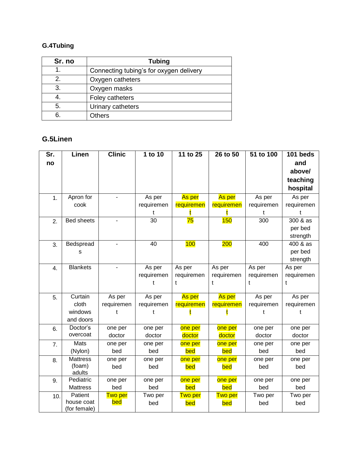# **G.4Tubing**

| Sr. no | <b>Tubing</b>                           |
|--------|-----------------------------------------|
|        | Connecting tubing's for oxygen delivery |
| 2.     | Oxygen catheters                        |
| 3.     | Oxygen masks                            |
|        | Foley catheters                         |
| 5.     | Urinary catheters                       |
| 6      | Others                                  |

# **G.5Linen**

| Sr. | Linen             | <b>Clinic</b> | 1 to 10    | 11 to 25   | 26 to 50   | 51 to 100  | 101 beds   |
|-----|-------------------|---------------|------------|------------|------------|------------|------------|
| no  |                   |               |            |            |            |            | and        |
|     |                   |               |            |            |            |            | above/     |
|     |                   |               |            |            |            |            | teaching   |
|     |                   |               |            |            |            |            | hospital   |
| 1.  | Apron for         |               | As per     | As per     | As per     | As per     | As per     |
|     | cook              |               | requiremen | requiremen | requiremen | requiremen | requiremen |
|     |                   |               | t          |            |            | t          |            |
| 2.  | <b>Bed sheets</b> |               | 30         | 75         | 150        | 300        | 300 & as   |
|     |                   |               |            |            |            |            | per bed    |
|     |                   |               |            |            |            |            | strength   |
| 3.  | Bedspread         |               | 40         | 100        | 200        | 400        | 400 & as   |
|     | s                 |               |            |            |            |            | per bed    |
|     |                   |               |            |            |            |            | strength   |
| 4.  | <b>Blankets</b>   |               | As per     | As per     | As per     | As per     | As per     |
|     |                   |               | requiremen | requiremen | requiremen | requiremen | requiremen |
|     |                   |               | t          | t          | t          | t          | t          |
|     |                   |               |            |            |            |            |            |
| 5.  | Curtain           | As per        | As per     | As per     | As per     | As per     | As per     |
|     | cloth             | requiremen    | requiremen | requiremen | requiremen | requiremen | requiremen |
|     | windows           | t             | t          |            |            | t          | t          |
|     | and doors         |               |            |            |            |            |            |
| 6.  | Doctor's          | one per       | one per    | one per    | one per    | one per    | one per    |
|     | overcoat          | doctor        | doctor     | doctor     | doctor     | doctor     | doctor     |
| 7.  | Mats              | one per       | one per    | one per    | one per    | one per    | one per    |
|     | (Nylon)           | bed           | bed        | bed        | bed        | bed        | bed        |
| 8.  | <b>Mattress</b>   | one per       | one per    | one per    | one per    | one per    | one per    |
|     | (foam)            | bed           | bed        | <b>bed</b> | bed        | bed        | bed        |
|     | adults            |               |            |            |            |            |            |
| 9.  | Pediatric         | one per       | one per    | one per    | one per    | one per    | one per    |
|     | <b>Mattress</b>   | bed           | bed        | bed        | bed        | bed        | bed        |
| 10. | Patient           | Two per       | Two per    | Two per    | Two per    | Two per    | Two per    |
|     | house coat        | <u>bed</u>    | bed        | bed        | bed        | bed        | bed        |
|     | (for female)      |               |            |            |            |            |            |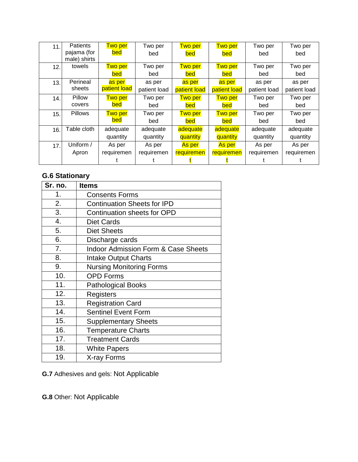| 11. | Patients       | <b>Two per</b> | Two per      | <b>Two per</b> | <b>Two per</b> | Two per      | Two per      |
|-----|----------------|----------------|--------------|----------------|----------------|--------------|--------------|
|     | pajama (for    | bed            | bed          | bed            | bed            | bed          | bed          |
|     | male) shirts   |                |              |                |                |              |              |
| 12. | towels         | <b>Two per</b> | Two per      | <b>Two per</b> | <b>Two per</b> | Two per      | Two per      |
|     |                | bed            | bed          | bed            | bed            | bed          | bed          |
| 13. | Perineal       | as per         | as per       | as per         | as per         | as per       | as per       |
|     | sheets         | patient load   | patient load | patient load   | patient load   | patient load | patient load |
| 14. | Pillow         | <b>Two per</b> | Two per      | <b>Two per</b> | <b>Two per</b> | Two per      | Two per      |
|     | covers         | bed            | bed          | bed            | bed            | bed          | bed          |
| 15. | <b>Pillows</b> | <b>Two per</b> | Two per      | <b>Two per</b> | <b>Two per</b> | Two per      | Two per      |
|     |                | <b>bed</b>     | bed          | bed            | bed            | bed          | bed          |
| 16. | Table cloth    | adequate       | adequate     | adequate       | adequate       | adequate     | adequate     |
|     |                | quantity       | quantity     | quantity       | quantity       | quantity     | quantity     |
| 17. | Uniform /      | As per         | As per       | As per         | As per         | As per       | As per       |
|     | Apron          | requiremen     | requiremen   | requiremen     | requiremen     | requiremen   | requiremen   |
|     |                |                |              |                |                |              |              |

# **G.6 Stationary**

| Sr. no. | <b>Items</b>                                   |
|---------|------------------------------------------------|
| 1.      | <b>Consents Forms</b>                          |
| 2.      | <b>Continuation Sheets for IPD</b>             |
| 3.      | <b>Continuation sheets for OPD</b>             |
| 4.      | <b>Diet Cards</b>                              |
| 5.      | <b>Diet Sheets</b>                             |
| 6.      | Discharge cards                                |
| 7.      | <b>Indoor Admission Form &amp; Case Sheets</b> |
| 8.      | <b>Intake Output Charts</b>                    |
| 9.      | <b>Nursing Monitoring Forms</b>                |
| 10.     | <b>OPD Forms</b>                               |
| 11.     | <b>Pathological Books</b>                      |
| 12.     | Registers                                      |
| 13.     | <b>Registration Card</b>                       |
| 14.     | <b>Sentinel Event Form</b>                     |
| 15.     | <b>Supplementary Sheets</b>                    |
| 16.     | <b>Temperature Charts</b>                      |
| 17.     | <b>Treatment Cards</b>                         |
| 18.     | <b>White Papers</b>                            |
| 19.     | X-ray Forms                                    |

**G.7** Adhesives and gels: Not Applicable

**G.8** Other: Not Applicable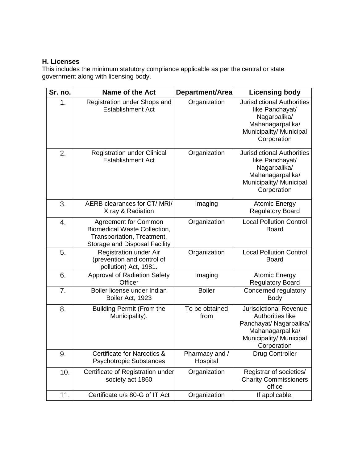# **H. Licenses**

This includes the minimum statutory compliance applicable as per the central or state government along with licensing body.

| Sr. no. | <b>Name of the Act</b>                                                                                                                   | Department/Area            | <b>Licensing body</b>                                                                                                                             |
|---------|------------------------------------------------------------------------------------------------------------------------------------------|----------------------------|---------------------------------------------------------------------------------------------------------------------------------------------------|
| 1.      | Registration under Shops and<br><b>Establishment Act</b>                                                                                 | Organization               | <b>Jurisdictional Authorities</b><br>like Panchayat/<br>Nagarpalika/<br>Mahanagarpalika/<br>Municipality/ Municipal<br>Corporation                |
| 2.      | <b>Registration under Clinical</b><br><b>Establishment Act</b>                                                                           | Organization               | <b>Jurisdictional Authorities</b><br>like Panchayat/<br>Nagarpalika/<br>Mahanagarpalika/<br>Municipality/ Municipal<br>Corporation                |
| 3.      | AERB clearances for CT/MRI/<br>X ray & Radiation                                                                                         | Imaging                    | <b>Atomic Energy</b><br><b>Regulatory Board</b>                                                                                                   |
| 4.      | <b>Agreement for Common</b><br><b>Biomedical Waste Collection,</b><br>Transportation, Treatment,<br><b>Storage and Disposal Facility</b> | Organization               | <b>Local Pollution Control</b><br><b>Board</b>                                                                                                    |
| 5.      | Registration under Air<br>(prevention and control of<br>pollution) Act, 1981.                                                            | Organization               | <b>Local Pollution Control</b><br><b>Board</b>                                                                                                    |
| 6.      | <b>Approval of Radiation Safety</b><br>Officer                                                                                           | Imaging                    | <b>Atomic Energy</b><br><b>Regulatory Board</b>                                                                                                   |
| 7.      | Boiler license under Indian<br>Boiler Act, 1923                                                                                          | <b>Boiler</b>              | Concerned regulatory<br><b>Body</b>                                                                                                               |
| 8.      | <b>Building Permit (From the</b><br>Municipality).                                                                                       | To be obtained<br>from     | <b>Jurisdictional Revenue</b><br><b>Authorities like</b><br>Panchayat/ Nagarpalika/<br>Mahanagarpalika/<br>Municipality/ Municipal<br>Corporation |
| 9.      | Certificate for Narcotics &<br><b>Psychotropic Substances</b>                                                                            | Pharmacy and /<br>Hospital | <b>Drug Controller</b>                                                                                                                            |
| 10.     | Certificate of Registration under<br>society act 1860                                                                                    | Organization               | Registrar of societies/<br><b>Charity Commissioners</b><br>office                                                                                 |
| 11.     | Certificate u/s 80-G of IT Act                                                                                                           | Organization               | If applicable.                                                                                                                                    |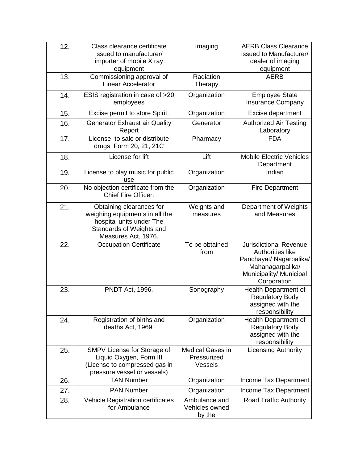| 12. | Class clearance certificate<br>issued to manufacturer/<br>importer of mobile X ray<br>equipment                                           | Imaging                                           | <b>AERB Class Clearance</b><br>issued to Manufacturer/<br>dealer of imaging<br>equipment                                                   |
|-----|-------------------------------------------------------------------------------------------------------------------------------------------|---------------------------------------------------|--------------------------------------------------------------------------------------------------------------------------------------------|
| 13. | Commissioning approval of<br><b>Linear Accelerator</b>                                                                                    | Radiation<br>Therapy                              | <b>AERB</b>                                                                                                                                |
| 14. | ESIS registration in case of >20<br>employees                                                                                             | Organization                                      | <b>Employee State</b><br><b>Insurance Company</b>                                                                                          |
| 15. | Excise permit to store Spirit.                                                                                                            | Organization                                      | Excise department                                                                                                                          |
| 16. | <b>Generator Exhaust air Quality</b><br>Report                                                                                            | Generator                                         | <b>Authorized Air Testing</b><br>Laboratory                                                                                                |
| 17. | License to sale or distribute<br>drugs Form 20, 21, 21C                                                                                   | Pharmacy                                          | <b>FDA</b>                                                                                                                                 |
| 18. | License for lift                                                                                                                          | Lift                                              | <b>Mobile Electric Vehicles</b><br>Department                                                                                              |
| 19. | License to play music for public<br>use                                                                                                   | Organization                                      | Indian                                                                                                                                     |
| 20. | No objection certificate from the<br>Chief Fire Officer.                                                                                  | Organization                                      | <b>Fire Department</b>                                                                                                                     |
| 21. | Obtaining clearances for<br>weighing equipments in all the<br>hospital units under The<br>Standards of Weights and<br>Measures Act, 1976. | Weights and<br>measures                           | Department of Weights<br>and Measures                                                                                                      |
| 22. | <b>Occupation Certificate</b>                                                                                                             | To be obtained<br>from                            | <b>Jurisdictional Revenue</b><br>Authorities like<br>Panchayat/ Nagarpalika/<br>Mahanagarpalika/<br>Municipality/ Municipal<br>Corporation |
| 23. | PNDT Act, 1996.                                                                                                                           | Sonography                                        | Health Department of<br><b>Regulatory Body</b><br>assigned with the<br>responsibility                                                      |
| 24. | Registration of births and<br>deaths Act, 1969.                                                                                           | Organization                                      | Health Department of<br><b>Regulatory Body</b><br>assigned with the<br>responsibility                                                      |
| 25. | SMPV License for Storage of<br>Liquid Oxygen, Form III<br>(License to compressed gas in<br>pressure vessel or vessels)                    | <b>Medical Gases in</b><br>Pressurized<br>Vessels | <b>Licensing Authority</b>                                                                                                                 |
| 26. | <b>TAN Number</b>                                                                                                                         | Organization                                      | Income Tax Department                                                                                                                      |
| 27. | <b>PAN Number</b>                                                                                                                         | Organization                                      | Income Tax Department                                                                                                                      |
| 28. | Vehicle Registration certificates<br>for Ambulance                                                                                        | Ambulance and<br>Vehicles owned<br>by the         | <b>Road Traffic Authority</b>                                                                                                              |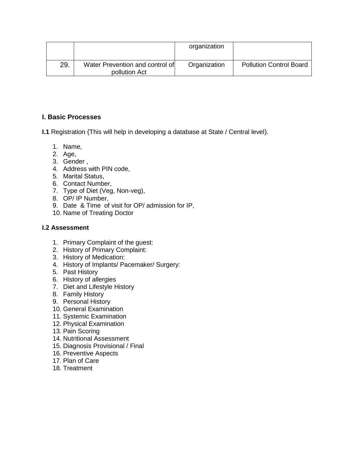|     |                                                  | organization |                                |
|-----|--------------------------------------------------|--------------|--------------------------------|
| 29. | Water Prevention and control of<br>pollution Act | Organization | <b>Pollution Control Board</b> |

### **I. Basic Processes**

**I.1** Registration (This will help in developing a database at State / Central level).

- 1. Name,
- 2. Age,
- 3. Gender ,
- 4. Address with PIN code,
- 5. Marital Status,
- 6. Contact Number,
- 7. Type of Diet (Veg, Non-veg),
- 8. OP/ IP Number,
- 9. Date & Time of visit for OP/ admission for IP,
- 10. Name of Treating Doctor

#### **I.2 Assessment**

- 1. Primary Complaint of the guest:
- 2. History of Primary Complaint:
- 3. History of Medication:
- 4. History of Implants/ Pacemaker/ Surgery:
- 5. Past History
- 6. History of allergies
- 7. Diet and Lifestyle History
- 8. Family History
- 9. Personal History
- 10. General Examination
- 11. Systemic Examination
- 12. Physical Examination
- 13. Pain Scoring
- 14. Nutritional Assessment
- 15. Diagnosis Provisional / Final
- 16. Preventive Aspects
- 17. Plan of Care
- 18. Treatment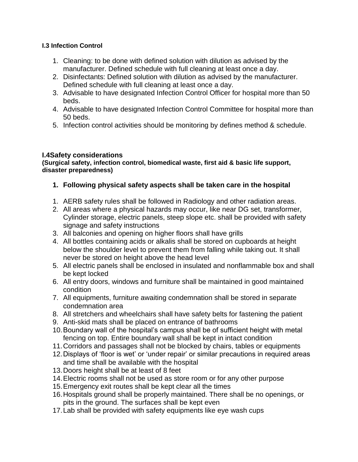#### **I.3 Infection Control**

- 1. Cleaning: to be done with defined solution with dilution as advised by the manufacturer. Defined schedule with full cleaning at least once a day.
- 2. Disinfectants: Defined solution with dilution as advised by the manufacturer. Defined schedule with full cleaning at least once a day.
- 3. Advisable to have designated Infection Control Officer for hospital more than 50 beds.
- 4. Advisable to have designated Infection Control Committee for hospital more than 50 beds.
- 5. Infection control activities should be monitoring by defines method & schedule.

# **I.4Safety considerations**

**(Surgical safety, infection control, biomedical waste, first aid & basic life support, disaster preparedness)** 

- **1. Following physical safety aspects shall be taken care in the hospital**
- 1. AERB safety rules shall be followed in Radiology and other radiation areas.
- 2. All areas where a physical hazards may occur, like near DG set, transformer, Cylinder storage, electric panels, steep slope etc. shall be provided with safety signage and safety instructions
- 3. All balconies and opening on higher floors shall have grills
- 4. All bottles containing acids or alkalis shall be stored on cupboards at height below the shoulder level to prevent them from falling while taking out. It shall never be stored on height above the head level
- 5. All electric panels shall be enclosed in insulated and nonflammable box and shall be kept locked
- 6. All entry doors, windows and furniture shall be maintained in good maintained condition
- 7. All equipments, furniture awaiting condemnation shall be stored in separate condemnation area
- 8. All stretchers and wheelchairs shall have safety belts for fastening the patient
- 9. Anti-skid mats shall be placed on entrance of bathrooms
- 10.Boundary wall of the hospital's campus shall be of sufficient height with metal fencing on top. Entire boundary wall shall be kept in intact condition
- 11.Corridors and passages shall not be blocked by chairs, tables or equipments
- 12.Displays of 'floor is wet' or 'under repair' or similar precautions in required areas and time shall be available with the hospital
- 13.Doors height shall be at least of 8 feet
- 14.Electric rooms shall not be used as store room or for any other purpose
- 15.Emergency exit routes shall be kept clear all the times
- 16.Hospitals ground shall be properly maintained. There shall be no openings, or pits in the ground. The surfaces shall be kept even
- 17.Lab shall be provided with safety equipments like eye wash cups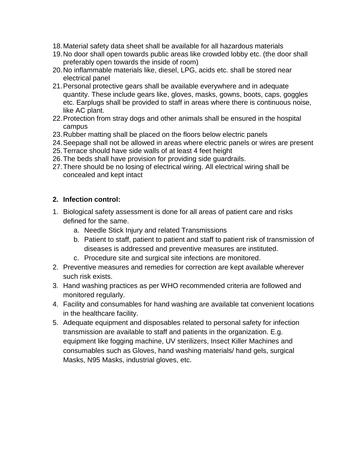- 18.Material safety data sheet shall be available for all hazardous materials
- 19.No door shall open towards public areas like crowded lobby etc. (the door shall preferably open towards the inside of room)
- 20.No inflammable materials like, diesel, LPG, acids etc. shall be stored near electrical panel
- 21.Personal protective gears shall be available everywhere and in adequate quantity. These include gears like, gloves, masks, gowns, boots, caps, goggles etc. Earplugs shall be provided to staff in areas where there is continuous noise, like AC plant.
- 22.Protection from stray dogs and other animals shall be ensured in the hospital campus
- 23.Rubber matting shall be placed on the floors below electric panels
- 24.Seepage shall not be allowed in areas where electric panels or wires are present
- 25.Terrace should have side walls of at least 4 feet height
- 26.The beds shall have provision for providing side guardrails.
- 27.There should be no losing of electrical wiring. All electrical wiring shall be concealed and kept intact

# **2. Infection control:**

- 1. Biological safety assessment is done for all areas of patient care and risks defined for the same.
	- a. Needle Stick Injury and related Transmissions
	- b. Patient to staff, patient to patient and staff to patient risk of transmission of diseases is addressed and preventive measures are instituted.
	- c. Procedure site and surgical site infections are monitored.
- 2. Preventive measures and remedies for correction are kept available wherever such risk exists.
- 3. Hand washing practices as per WHO recommended criteria are followed and monitored regularly.
- 4. Facility and consumables for hand washing are available tat convenient locations in the healthcare facility.
- 5. Adequate equipment and disposables related to personal safety for infection transmission are available to staff and patients in the organization. E.g. equipment like fogging machine, UV sterilizers, Insect Killer Machines and consumables such as Gloves, hand washing materials/ hand gels, surgical Masks, N95 Masks, industrial gloves, etc.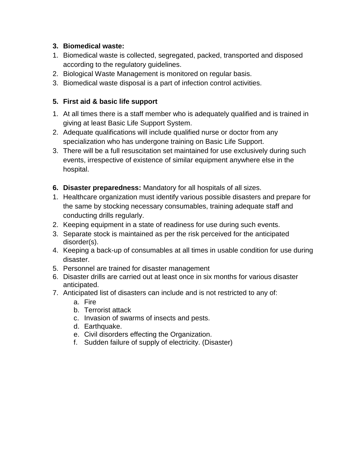# **3. Biomedical waste:**

- 1. Biomedical waste is collected, segregated, packed, transported and disposed according to the regulatory guidelines.
- 2. Biological Waste Management is monitored on regular basis.
- 3. Biomedical waste disposal is a part of infection control activities.

# **5. First aid & basic life support**

- 1. At all times there is a staff member who is adequately qualified and is trained in giving at least Basic Life Support System.
- 2. Adequate qualifications will include qualified nurse or doctor from any specialization who has undergone training on Basic Life Support.
- 3. There will be a full resuscitation set maintained for use exclusively during such events, irrespective of existence of similar equipment anywhere else in the hospital.
- **6. Disaster preparedness:** Mandatory for all hospitals of all sizes.
- 1. Healthcare organization must identify various possible disasters and prepare for the same by stocking necessary consumables, training adequate staff and conducting drills regularly.
- 2. Keeping equipment in a state of readiness for use during such events.
- 3. Separate stock is maintained as per the risk perceived for the anticipated disorder(s).
- 4. Keeping a back-up of consumables at all times in usable condition for use during disaster.
- 5. Personnel are trained for disaster management
- 6. Disaster drills are carried out at least once in six months for various disaster anticipated.
- 7. Anticipated list of disasters can include and is not restricted to any of:
	- a. Fire
	- b. Terrorist attack
	- c. Invasion of swarms of insects and pests.
	- d. Earthquake.
	- e. Civil disorders effecting the Organization.
	- f. Sudden failure of supply of electricity. (Disaster)